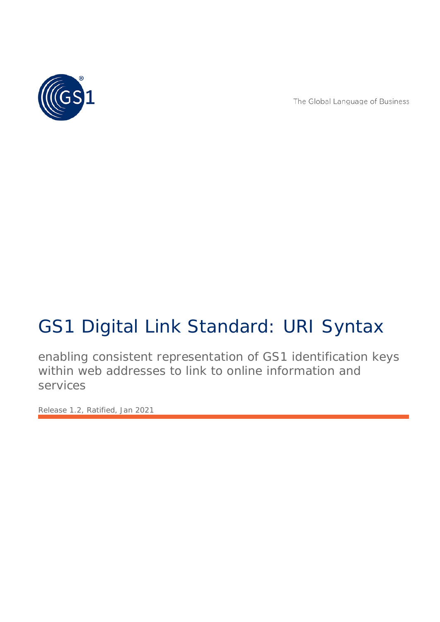

The Global Language of Business

# GS1 Digital Link Standard: URI Syntax

enabling consistent representation of GS1 identification keys within web addresses to link to online information and services

*Release 1.2, Ratified, Jan 2021*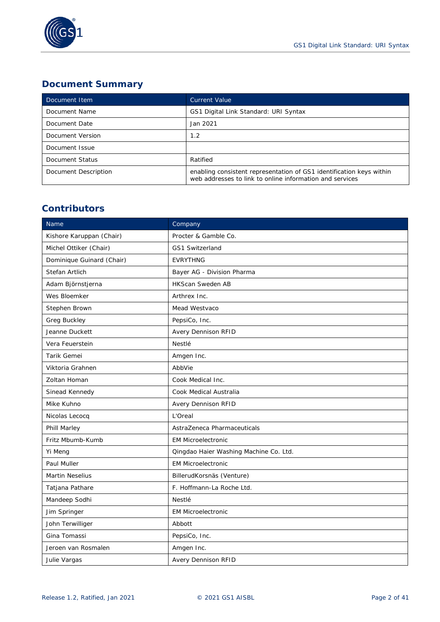

# **Document Summary**

| Document Item        | <b>Current Value</b>                                                                                                             |  |  |  |  |  |
|----------------------|----------------------------------------------------------------------------------------------------------------------------------|--|--|--|--|--|
| Document Name        | GS1 Digital Link Standard: URI Syntax                                                                                            |  |  |  |  |  |
| Document Date        | Jan 2021                                                                                                                         |  |  |  |  |  |
| Document Version     | 1.2                                                                                                                              |  |  |  |  |  |
| Document Issue       |                                                                                                                                  |  |  |  |  |  |
| Document Status      | Ratified                                                                                                                         |  |  |  |  |  |
| Document Description | enabling consistent representation of GS1 identification keys within<br>web addresses to link to online information and services |  |  |  |  |  |

# **Contributors**

| Name                      | Company                                |
|---------------------------|----------------------------------------|
| Kishore Karuppan (Chair)  | Procter & Gamble Co.                   |
| Michel Ottiker (Chair)    | <b>GS1 Switzerland</b>                 |
| Dominique Guinard (Chair) | <b>EVRYTHNG</b>                        |
| Stefan Artlich            | Bayer AG - Division Pharma             |
| Adam Björnstjerna         | <b>HKScan Sweden AB</b>                |
| Wes Bloemker              | Arthrex Inc.                           |
| Stephen Brown             | Mead Westvaco                          |
| Greg Buckley              | PepsiCo, Inc.                          |
| Jeanne Duckett            | Avery Dennison RFID                    |
| Vera Feuerstein           | Nestlé                                 |
| Tarik Gemei               | Amgen Inc.                             |
| Viktoria Grahnen          | AbbVie                                 |
| Zoltan Homan              | Cook Medical Inc.                      |
| Sinead Kennedy            | Cook Medical Australia                 |
| Mike Kuhno                | Avery Dennison RFID                    |
| Nicolas Lecocq            | L'Oreal                                |
| Phill Marley              | AstraZeneca Pharmaceuticals            |
| Fritz Mbumb-Kumb          | <b>EM Microelectronic</b>              |
| Yi Meng                   | Qingdao Haier Washing Machine Co. Ltd. |
| Paul Muller               | <b>EM Microelectronic</b>              |
| <b>Martin Neselius</b>    | BillerudKorsnäs (Venture)              |
| Tatjana Pathare           | F. Hoffmann-La Roche Ltd.              |
| Mandeep Sodhi             | Nestlé                                 |
| Jim Springer              | <b>EM Microelectronic</b>              |
| John Terwilliger          | Abbott                                 |
| Gina Tomassi              | PepsiCo, Inc.                          |
| Jeroen van Rosmalen       | Amgen Inc.                             |
| Julie Vargas              | <b>Avery Dennison RFID</b>             |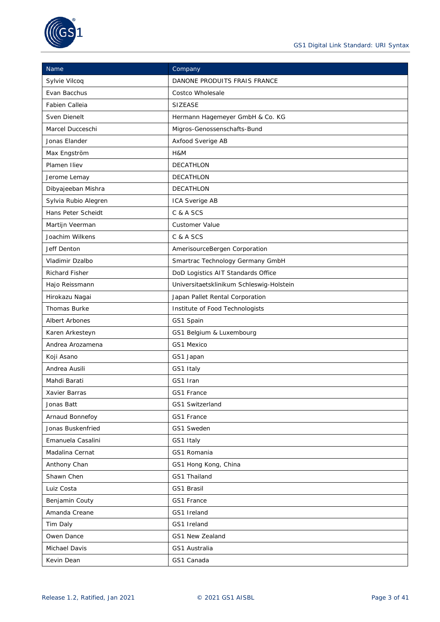

| Name                  | Company                                  |
|-----------------------|------------------------------------------|
| Sylvie Vilcoq         | DANONE PRODUITS FRAIS FRANCE             |
| Evan Bacchus          | Costco Wholesale                         |
| Fabien Calleia        | <b>SIZEASE</b>                           |
| Sven Dienelt          | Hermann Hagemeyer GmbH & Co. KG          |
| Marcel Ducceschi      | Migros-Genossenschafts-Bund              |
| Jonas Elander         | Axfood Sverige AB                        |
| Max Engström          | H&M                                      |
| Plamen Iliev          | <b>DECATHLON</b>                         |
| Jerome Lemay          | <b>DECATHLON</b>                         |
| Dibyajeeban Mishra    | DECATHLON                                |
| Sylvia Rubio Alegren  | ICA Sverige AB                           |
| Hans Peter Scheidt    | C & A SCS                                |
| Martijn Veerman       | <b>Customer Value</b>                    |
| Joachim Wilkens       | C & A SCS                                |
| Jeff Denton           | AmerisourceBergen Corporation            |
| Vladimir Dzalbo       | Smartrac Technology Germany GmbH         |
| <b>Richard Fisher</b> | DoD Logistics AIT Standards Office       |
| Hajo Reissmann        | Universitaetsklinikum Schleswig-Holstein |
| Hirokazu Nagai        | Japan Pallet Rental Corporation          |
| <b>Thomas Burke</b>   | Institute of Food Technologists          |
| <b>Albert Arbones</b> | GS1 Spain                                |
| Karen Arkesteyn       | GS1 Belgium & Luxembourg                 |
| Andrea Arozamena      | GS1 Mexico                               |
| Koji Asano            | GS1 Japan                                |
| Andrea Ausili         | GS1 Italy                                |
| Mahdi Barati          | GS1 Iran                                 |
| Xavier Barras         | GS1 France                               |
| Jonas Batt            | GS1 Switzerland                          |
| Arnaud Bonnefoy       | GS1 France                               |
| Jonas Buskenfried     | GS1 Sweden                               |
| Emanuela Casalini     | GS1 Italy                                |
| Madalina Cernat       | GS1 Romania                              |
| Anthony Chan          | GS1 Hong Kong, China                     |
| Shawn Chen            | GS1 Thailand                             |
| Luiz Costa            | GS1 Brasil                               |
| Benjamin Couty        | GS1 France                               |
| Amanda Creane         | GS1 Ireland                              |
| Tim Daly              | GS1 Ireland                              |
| Owen Dance            | GS1 New Zealand                          |
| Michael Davis         | GS1 Australia                            |
| Kevin Dean            | GS1 Canada                               |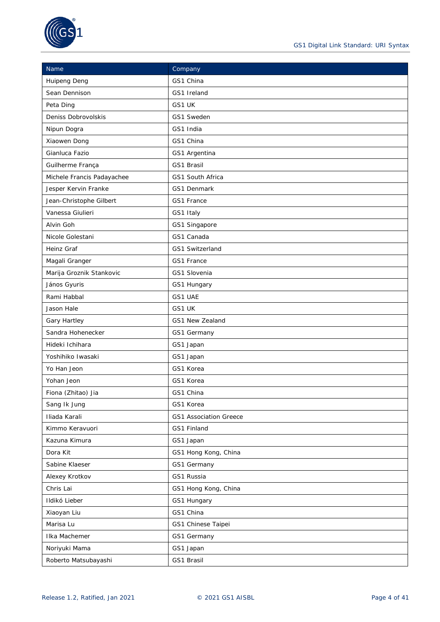

| <b>Name</b>                | Company                       |  |  |  |
|----------------------------|-------------------------------|--|--|--|
| <b>Huipeng Deng</b>        | GS1 China                     |  |  |  |
| Sean Dennison              | GS1 Ireland                   |  |  |  |
| Peta Ding                  | GS1 UK                        |  |  |  |
| Deniss Dobrovolskis        | GS1 Sweden                    |  |  |  |
| Nipun Dogra                | GS1 India                     |  |  |  |
| Xiaowen Dong               | GS1 China                     |  |  |  |
| Gianluca Fazio             | GS1 Argentina                 |  |  |  |
| Guilherme França           | GS1 Brasil                    |  |  |  |
| Michele Francis Padayachee | GS1 South Africa              |  |  |  |
| Jesper Kervin Franke       | GS1 Denmark                   |  |  |  |
| Jean-Christophe Gilbert    | GS1 France                    |  |  |  |
| Vanessa Giulieri           | GS1 Italy                     |  |  |  |
| Alvin Goh                  | GS1 Singapore                 |  |  |  |
| Nicole Golestani           | GS1 Canada                    |  |  |  |
| Heinz Graf                 | GS1 Switzerland               |  |  |  |
| Magali Granger             | GS1 France                    |  |  |  |
| Marija Groznik Stankovic   | GS1 Slovenia                  |  |  |  |
| János Gyuris               | GS1 Hungary                   |  |  |  |
| Rami Habbal                | GS1 UAE                       |  |  |  |
| Jason Hale                 | GS1 UK                        |  |  |  |
| Gary Hartley               | GS1 New Zealand               |  |  |  |
| Sandra Hohenecker          | GS1 Germany                   |  |  |  |
| Hideki Ichihara            | GS1 Japan                     |  |  |  |
| Yoshihiko Iwasaki          | GS1 Japan                     |  |  |  |
| Yo Han Jeon                | GS1 Korea                     |  |  |  |
| Yohan Jeon                 | GS1 Korea                     |  |  |  |
| Fiona (Zhitao) Jia         | GS1 China                     |  |  |  |
| Sang Ik Jung               | GS1 Korea                     |  |  |  |
| Iliada Karali              | <b>GS1 Association Greece</b> |  |  |  |
| Kimmo Keravuori            | GS1 Finland                   |  |  |  |
| Kazuna Kimura              | GS1 Japan                     |  |  |  |
| Dora Kit                   | GS1 Hong Kong, China          |  |  |  |
| Sabine Klaeser             | GS1 Germany                   |  |  |  |
| Alexey Krotkov             | GS1 Russia                    |  |  |  |
| Chris Lai                  | GS1 Hong Kong, China          |  |  |  |
| Ildikó Lieber              | GS1 Hungary                   |  |  |  |
| Xiaoyan Liu                | GS1 China                     |  |  |  |
| Marisa Lu                  | GS1 Chinese Taipei            |  |  |  |
| Ilka Machemer              | GS1 Germany                   |  |  |  |
| Noriyuki Mama              | GS1 Japan                     |  |  |  |
| Roberto Matsubayashi       | GS1 Brasil                    |  |  |  |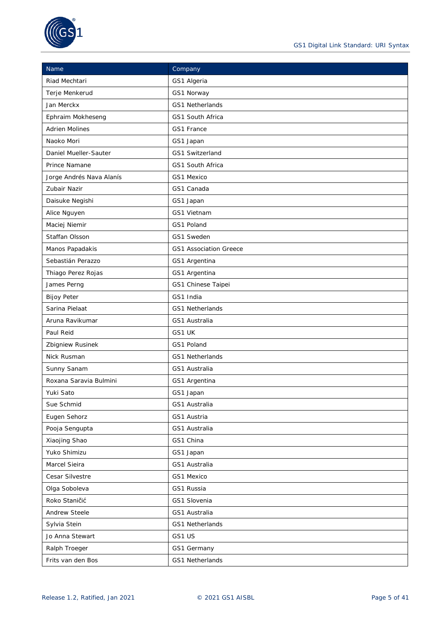

| Name                     | Company                       |  |  |  |
|--------------------------|-------------------------------|--|--|--|
| Riad Mechtari            | GS1 Algeria                   |  |  |  |
| Terje Menkerud           | GS1 Norway                    |  |  |  |
| Jan Merckx               | GS1 Netherlands               |  |  |  |
| Ephraim Mokheseng        | GS1 South Africa              |  |  |  |
| <b>Adrien Molines</b>    | GS1 France                    |  |  |  |
| Naoko Mori               | GS1 Japan                     |  |  |  |
| Daniel Mueller-Sauter    | GS1 Switzerland               |  |  |  |
| Prince Namane            | GS1 South Africa              |  |  |  |
| Jorge Andrés Nava Alanís | GS1 Mexico                    |  |  |  |
| Zubair Nazir             | GS1 Canada                    |  |  |  |
| Daisuke Negishi          | GS1 Japan                     |  |  |  |
| Alice Nguyen             | GS1 Vietnam                   |  |  |  |
| Maciej Niemir            | GS1 Poland                    |  |  |  |
| Staffan Olsson           | GS1 Sweden                    |  |  |  |
| Manos Papadakis          | <b>GS1 Association Greece</b> |  |  |  |
| Sebastián Perazzo        | GS1 Argentina                 |  |  |  |
| Thiago Perez Rojas       | GS1 Argentina                 |  |  |  |
| James Perng              | GS1 Chinese Taipei            |  |  |  |
| <b>Bijoy Peter</b>       | GS1 India                     |  |  |  |
| Sarina Pielaat           | GS1 Netherlands               |  |  |  |
| Aruna Ravikumar          | GS1 Australia                 |  |  |  |
| Paul Reid                | GS1 UK                        |  |  |  |
| Zbigniew Rusinek         | GS1 Poland                    |  |  |  |
| Nick Rusman              | <b>GS1 Netherlands</b>        |  |  |  |
| Sunny Sanam              | GS1 Australia                 |  |  |  |
| Roxana Saravia Bulmini   | GS1 Argentina                 |  |  |  |
| Yuki Sato                | GS1 Japan                     |  |  |  |
| Sue Schmid               | GS1 Australia                 |  |  |  |
| Eugen Sehorz             | GS1 Austria                   |  |  |  |
| Pooja Sengupta           | GS1 Australia                 |  |  |  |
| Xiaojing Shao            | GS1 China                     |  |  |  |
| Yuko Shimizu             | GS1 Japan                     |  |  |  |
| Marcel Sieira            | GS1 Australia                 |  |  |  |
| Cesar Silvestre          | GS1 Mexico                    |  |  |  |
| Olga Soboleva            | GS1 Russia                    |  |  |  |
| Roko Staničić            | GS1 Slovenia                  |  |  |  |
| Andrew Steele            | GS1 Australia                 |  |  |  |
| Sylvia Stein             | GS1 Netherlands               |  |  |  |
| Jo Anna Stewart          | GS1 US                        |  |  |  |
| Ralph Troeger            | GS1 Germany                   |  |  |  |
| Frits van den Bos        | GS1 Netherlands               |  |  |  |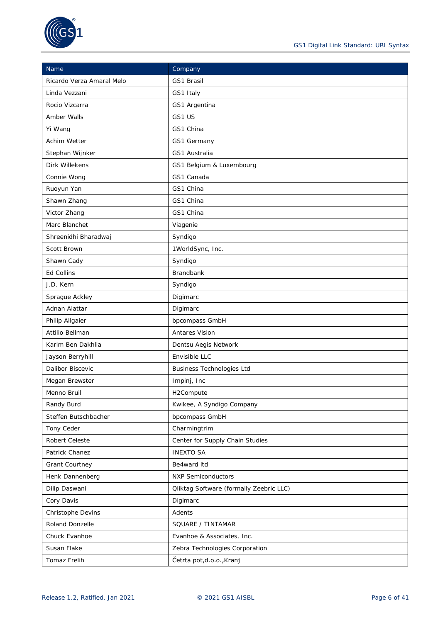

| Name                      | Company                                        |  |  |  |
|---------------------------|------------------------------------------------|--|--|--|
| Ricardo Verza Amaral Melo | GS1 Brasil                                     |  |  |  |
| Linda Vezzani             | GS1 Italy                                      |  |  |  |
| Rocio Vizcarra            | GS1 Argentina                                  |  |  |  |
| Amber Walls               | GS1 US                                         |  |  |  |
| Yi Wang                   | GS1 China                                      |  |  |  |
| Achim Wetter              | GS1 Germany                                    |  |  |  |
| Stephan Wijnker           | GS1 Australia                                  |  |  |  |
| Dirk Willekens            | GS1 Belgium & Luxembourg                       |  |  |  |
| Connie Wong               | GS1 Canada                                     |  |  |  |
| Ruoyun Yan                | GS1 China                                      |  |  |  |
| Shawn Zhang               | GS1 China                                      |  |  |  |
| Victor Zhang              | GS1 China                                      |  |  |  |
| Marc Blanchet             | Viagenie                                       |  |  |  |
| Shreenidhi Bharadwaj      | Syndigo                                        |  |  |  |
| Scott Brown               | 1WorldSync, Inc.                               |  |  |  |
| Shawn Cady                | Syndigo                                        |  |  |  |
| Ed Collins                | <b>Brandbank</b>                               |  |  |  |
| J.D. Kern                 | Syndigo                                        |  |  |  |
| Sprague Ackley            | Digimarc                                       |  |  |  |
| Adnan Alattar             | Digimarc                                       |  |  |  |
| Philip Allgaier           | bpcompass GmbH                                 |  |  |  |
| Attilio Bellman           | Antares Vision                                 |  |  |  |
| Karim Ben Dakhlia         | Dentsu Aegis Network                           |  |  |  |
| Jayson Berryhill          | Envisible LLC                                  |  |  |  |
| Dalibor Biscevic          | <b>Business Technologies Ltd</b>               |  |  |  |
| Megan Brewster            | Impinj, Inc                                    |  |  |  |
| Menno Bruil               | H2Compute                                      |  |  |  |
| Randy Burd                | Kwikee, A Syndigo Company                      |  |  |  |
| Steffen Butschbacher      | bpcompass GmbH                                 |  |  |  |
| Tony Ceder                | Charmingtrim                                   |  |  |  |
| Robert Celeste            | Center for Supply Chain Studies                |  |  |  |
| Patrick Chanez            | <b>INEXTO SA</b>                               |  |  |  |
| Grant Courtney            | Be4ward Itd                                    |  |  |  |
| Henk Dannenberg           | <b>NXP Semiconductors</b>                      |  |  |  |
| Dilip Daswani             | <b>Qliktag Software (formally Zeebric LLC)</b> |  |  |  |
| Cory Davis                | Digimarc                                       |  |  |  |
| Christophe Devins         | Adents                                         |  |  |  |
| Roland Donzelle           | SQUARE / TINTAMAR                              |  |  |  |
| Chuck Evanhoe             | Evanhoe & Associates, Inc.                     |  |  |  |
| Susan Flake               | Zebra Technologies Corporation                 |  |  |  |
| Tomaz Frelih              | Četrta pot,d.o.o., Kranj                       |  |  |  |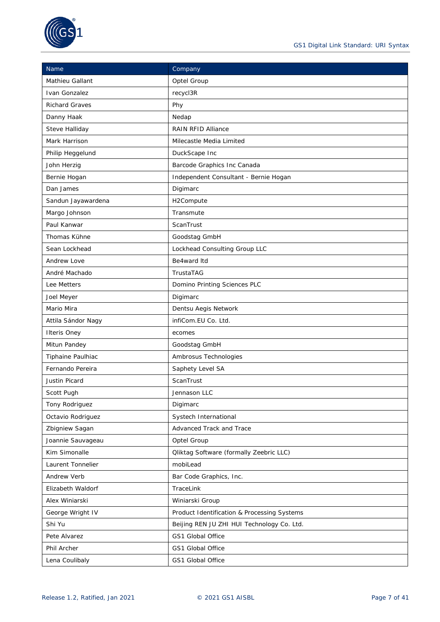

| Name                  | Company                                        |  |  |  |
|-----------------------|------------------------------------------------|--|--|--|
| Mathieu Gallant       | Optel Group                                    |  |  |  |
| Ivan Gonzalez         | recycl3R                                       |  |  |  |
| <b>Richard Graves</b> | Phy                                            |  |  |  |
| Danny Haak            | Nedap                                          |  |  |  |
| Steve Halliday        | <b>RAIN RFID Alliance</b>                      |  |  |  |
| Mark Harrison         | Milecastle Media Limited                       |  |  |  |
| Philip Heggelund      | DuckScape Inc                                  |  |  |  |
| John Herzig           | Barcode Graphics Inc Canada                    |  |  |  |
| Bernie Hogan          | Independent Consultant - Bernie Hogan          |  |  |  |
| Dan James             | Digimarc                                       |  |  |  |
| Sandun Jayawardena    | H2Compute                                      |  |  |  |
| Margo Johnson         | Transmute                                      |  |  |  |
| Paul Kanwar           | ScanTrust                                      |  |  |  |
| Thomas Kühne          | Goodstag GmbH                                  |  |  |  |
| Sean Lockhead         | Lockhead Consulting Group LLC                  |  |  |  |
| Andrew Love           | Be4ward Itd                                    |  |  |  |
| André Machado         | TrustaTAG                                      |  |  |  |
| Lee Metters           | Domino Printing Sciences PLC                   |  |  |  |
| Joel Meyer            | Digimarc                                       |  |  |  |
| Mario Mira            | Dentsu Aegis Network                           |  |  |  |
| Attila Sándor Nagy    | infiCom.EU Co. Ltd.                            |  |  |  |
| <b>Ilteris Oney</b>   | ecomes                                         |  |  |  |
| Mitun Pandey          | Goodstag GmbH                                  |  |  |  |
| Tiphaine Paulhiac     | Ambrosus Technologies                          |  |  |  |
| Fernando Pereira      | Saphety Level SA                               |  |  |  |
| Justin Picard         | ScanTrust                                      |  |  |  |
| Scott Pugh            | Jennason LLC                                   |  |  |  |
| Tony Rodriguez        | Digimarc                                       |  |  |  |
| Octavio Rodriguez     | Systech International                          |  |  |  |
| Zbigniew Sagan        | Advanced Track and Trace                       |  |  |  |
| Joannie Sauvageau     | Optel Group                                    |  |  |  |
| Kim Simonalle         | <b>Qliktag Software (formally Zeebric LLC)</b> |  |  |  |
| Laurent Tonnelier     | mobiLead                                       |  |  |  |
| Andrew Verb           | Bar Code Graphics, Inc.                        |  |  |  |
| Elizabeth Waldorf     | TraceLink                                      |  |  |  |
| Alex Winiarski        | Winiarski Group                                |  |  |  |
| George Wright IV      | Product Identification & Processing Systems    |  |  |  |
| Shi Yu                | Beijing REN JU ZHI HUI Technology Co. Ltd.     |  |  |  |
| Pete Alvarez          | GS1 Global Office                              |  |  |  |
| Phil Archer           | GS1 Global Office                              |  |  |  |
| Lena Coulibaly        | GS1 Global Office                              |  |  |  |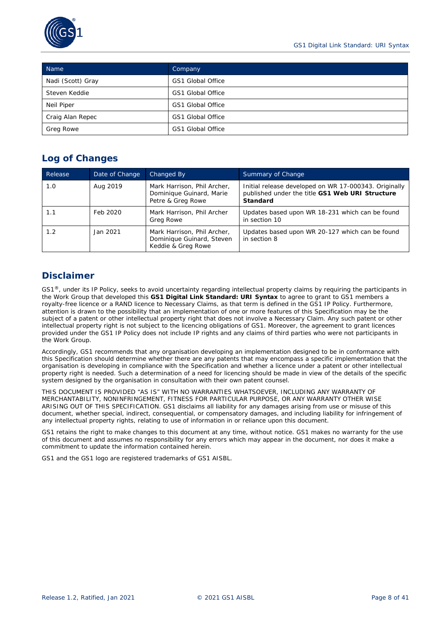

| Name              | Company           |  |  |  |
|-------------------|-------------------|--|--|--|
| Nadi (Scott) Gray | GS1 Global Office |  |  |  |
| Steven Keddie     | GS1 Global Office |  |  |  |
| Neil Piper        | GS1 Global Office |  |  |  |
| Craig Alan Repec  | GS1 Global Office |  |  |  |
| Greg Rowe         | GS1 Global Office |  |  |  |

# **Log of Changes**

| Release | Date of Change | Changed By                                                                     | Summary of Change                                                                                                    |  |  |  |  |
|---------|----------------|--------------------------------------------------------------------------------|----------------------------------------------------------------------------------------------------------------------|--|--|--|--|
| 1.0     | Aug 2019       | Mark Harrison, Phil Archer,<br>Dominique Guinard, Marie<br>Petre & Greg Rowe   | Initial release developed on WR 17-000343. Originally<br>published under the title GS1 Web URI Structure<br>Standard |  |  |  |  |
| 1.1     | Feb 2020       | Mark Harrison, Phil Archer<br>Greg Rowe                                        | Updates based upon WR 18-231 which can be found<br>in section 10                                                     |  |  |  |  |
| 1.2     | Jan 2021       | Mark Harrison, Phil Archer,<br>Dominique Guinard, Steven<br>Keddie & Greg Rowe | Updates based upon WR 20-127 which can be found<br>in section 8                                                      |  |  |  |  |

# **Disclaimer**

GS1<sup>®</sup>, under its IP Policy, seeks to avoid uncertainty regarding intellectual property claims by requiring the participants in the Work Group that developed this **GS1 Digital Link Standard: URI Syntax** to agree to grant to GS1 members a royalty-free licence or a RAND licence to Necessary Claims, as that term is defined in the GS1 IP Policy. Furthermore, attention is drawn to the possibility that an implementation of one or more features of this Specification may be the subject of a patent or other intellectual property right that does not involve a Necessary Claim. Any such patent or other intellectual property right is not subject to the licencing obligations of GS1. Moreover, the agreement to grant licences provided under the GS1 IP Policy does not include IP rights and any claims of third parties who were not participants in the Work Group.

Accordingly, GS1 recommends that any organisation developing an implementation designed to be in conformance with this Specification should determine whether there are any patents that may encompass a specific implementation that the organisation is developing in compliance with the Specification and whether a licence under a patent or other intellectual property right is needed. Such a determination of a need for licencing should be made in view of the details of the specific system designed by the organisation in consultation with their own patent counsel.

THIS DOCUMENT IS PROVIDED "AS IS" WITH NO WARRANTIES WHATSOEVER, INCLUDING ANY WARRANTY OF MERCHANTABILITY, NONINFRINGEMENT, FITNESS FOR PARTICULAR PURPOSE, OR ANY WARRANTY OTHER WISE ARISING OUT OF THIS SPECIFICATION. GS1 disclaims all liability for any damages arising from use or misuse of this document, whether special, indirect, consequential, or compensatory damages, and including liability for infringement of any intellectual property rights, relating to use of information in or reliance upon this document.

GS1 retains the right to make changes to this document at any time, without notice. GS1 makes no warranty for the use of this document and assumes no responsibility for any errors which may appear in the document, nor does it make a commitment to update the information contained herein.

GS1 and the GS1 logo are registered trademarks of GS1 AISBL.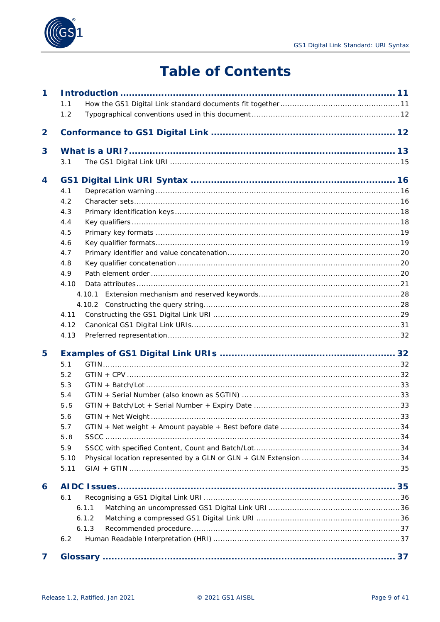



# **Table of Contents**

| $\mathbf 1$    |      |       |  |
|----------------|------|-------|--|
|                | 1.1  |       |  |
|                | 1.2  |       |  |
| $\overline{2}$ |      |       |  |
| 3              |      |       |  |
|                | 3.1  |       |  |
| 4              | GS1  |       |  |
|                | 4.1  |       |  |
|                | 4.2  |       |  |
|                | 4.3  |       |  |
|                | 4.4  |       |  |
|                | 4.5  |       |  |
|                | 4.6  |       |  |
|                | 4.7  |       |  |
|                | 4.8  |       |  |
|                | 4.9  |       |  |
|                | 4.10 |       |  |
|                |      |       |  |
|                |      |       |  |
|                | 4.11 |       |  |
|                | 4.12 |       |  |
|                | 4.13 |       |  |
| 5              |      |       |  |
|                | 5.1  |       |  |
|                | 5.2  |       |  |
|                | 5.3  |       |  |
|                | 5.4  |       |  |
|                | 5.5  |       |  |
|                | 5.6  |       |  |
|                | 5.7  |       |  |
|                | 5.8  |       |  |
|                | 5.9  |       |  |
|                | 5.10 |       |  |
|                | 5.11 |       |  |
| 6              |      |       |  |
|                | 6.1  |       |  |
|                |      | 6.1.1 |  |
|                |      | 6.1.2 |  |
|                |      | 6.1.3 |  |
|                | 6.2  |       |  |
| 7              |      |       |  |
|                |      |       |  |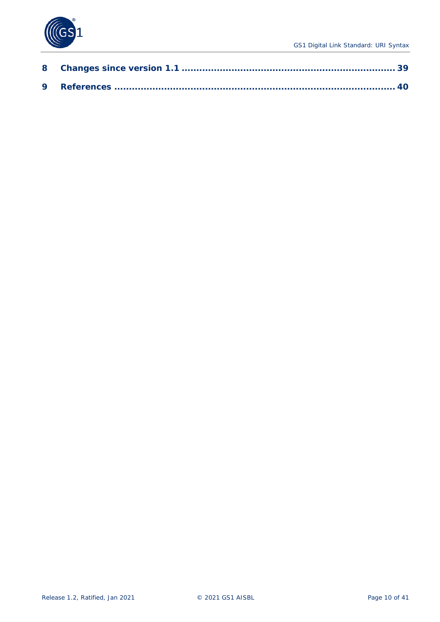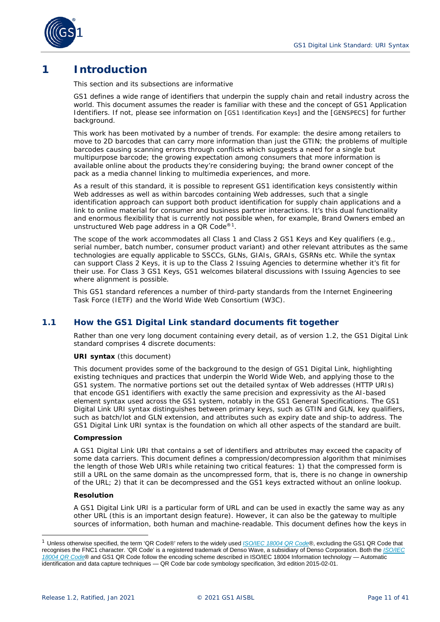

# <span id="page-10-0"></span>**1 Introduction**

#### *This section and its subsections are informative*

GS1 defines a wide range of identifiers that underpin the supply chain and retail industry across the world. This document assumes the reader is familiar with these and the concept of GS1 Application Identifiers. If not, please see information on [\[GS1 Identification Keys\]](#page-39-1) and the [\[GENSPECS\]](#page-39-2) for further background.

This work has been motivated by a number of trends. For example: the desire among retailers to move to 2D barcodes that can carry more information than just the GTIN; the problems of multiple barcodes causing scanning errors through conflicts which suggests a need for a single but multipurpose barcode; the growing expectation among consumers that more information is available online about the products they're considering buying; the brand owner concept of the pack as a media channel linking to multimedia experiences, and more.

As a result of this standard, it is possible to represent GS1 identification keys consistently within Web addresses as well as within barcodes containing Web addresses, such that a single identification approach can support both product identification for supply chain applications *and* a link to online material for consumer and business partner interactions. It's this dual functionality and enormous flexibility that is currently not possible when, for example, Brand Owners embed an unstructured Web page address in a QR Code<sup>®1</sup>.

The scope of the work accommodates all Class 1 and Class 2 GS1 Keys and Key qualifiers (e.g., serial number, batch number, consumer product variant) and other relevant attributes as the same technologies are equally applicable to SSCCs, GLNs, GIAIs, GRAIs, GSRNs etc. While the syntax can support Class 2 Keys, it is up to the Class 2 Issuing Agencies to determine whether it's fit for their use. For Class 3 GS1 Keys, GS1 welcomes bilateral discussions with Issuing Agencies to see where alignment is possible.

This GS1 standard references a number of third-party standards from the Internet Engineering Task Force (IETF) and the World Wide Web Consortium (W3C).

# <span id="page-10-1"></span>**1.1 How the GS1 Digital Link standard documents fit together**

Rather than one very long document containing every detail, as of version 1.2, the GS1 Digital Link standard comprises 4 discrete documents:

#### **URI syntax** (this document)

This document provides some of the background to the design of GS1 Digital Link, highlighting existing techniques and practices that underpin the World Wide Web, and applying those to the GS1 system. The normative portions set out the detailed syntax of Web addresses (HTTP URIs) that encode GS1 identifiers with exactly the same precision and expressivity as the AI-based element syntax used across the GS1 system, notably in the GS1 General Specifications. The GS1 Digital Link URI syntax distinguishes between primary keys, such as GTIN and GLN, key qualifiers, such as batch/lot and GLN extension, and attributes such as expiry date and ship-to address. The GS1 Digital Link URI syntax is the foundation on which all other aspects of the standard are built.

#### **Compression**

A GS1 Digital Link URI that contains a set of identifiers and attributes may exceed the capacity of some data carriers. This document defines a compression/decompression algorithm that minimises the length of those Web URIs while retaining two critical features: 1) that the compressed form is still a URL on the same domain as the uncompressed form, that is, there is no change in ownership of the URL; 2) that it can be decompressed and the GS1 keys extracted *without* an online lookup.

#### **Resolution**

A GS1 Digital Link URI is a particular form of URL and *can* be used in exactly the same way as any other URL (this is an important design feature). However, it can also be the gateway to multiple sources of information, both human and machine-readable. This document defines how the keys in

<span id="page-10-2"></span><sup>1</sup> Unless otherwise specified, the term 'QR Code®' refers to the widely used *[ISO/IEC 18004 QR Code](https://www.iso.org/obp/ui/#iso:std:iso-iec:18004:ed-3:v1:en)*®, excluding the GS1 QR Code that recognises the FNC1 character. 'QR Code' is a registered trademark of Denso Wave, a subsidiary of Denso Corporation. Both the *[ISO/IEC](https://www.iso.org/obp/ui/#iso:std:iso-iec:18004:ed-3:v1:en)  [18004 QR Code](https://www.iso.org/obp/ui/#iso:std:iso-iec:18004:ed-3:v1:en)*® and GS1 QR Code follow the encoding scheme described in ISO/IEC 18004 Information technology — Automatic identification and data capture techniques — QR Code bar code symbology specification, 3rd edition 2015-02-01.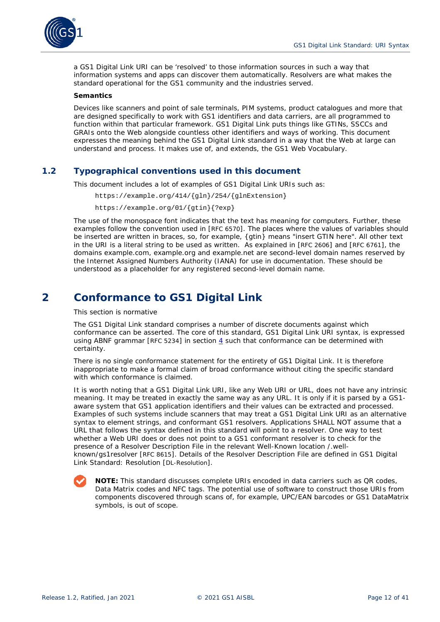

a GS1 Digital Link URI can be 'resolved' to those information sources in such a way that information systems and apps can discover them automatically. Resolvers are what makes the standard operational for the GS1 community and the industries served.

#### **Semantics**

Devices like scanners and point of sale terminals, PIM systems, product catalogues and more that are designed specifically to work with GS1 identifiers and data carriers, are all programmed to function within that particular framework. GS1 Digital Link puts things like GTINs, SSCCs and GRAIs onto the Web alongside countless other identifiers and ways of working. This document expresses the meaning behind the GS1 Digital Link standard in a way that the Web at large can understand and process. It makes use of, and extends, the GS1 Web Vocabulary.

# <span id="page-11-0"></span>**1.2 Typographical conventions used in this document**

This document includes a lot of examples of GS1 Digital Link URIs such as:

https://example.org/414/{gln}/254/{glnExtension}

https://example.org/01/{gtin}{?exp}

The use of the monospace font indicates that the text has meaning for computers. Further, these examples follow the convention used in [\[RFC 6570\]](#page-39-3). The places where the values of variables should be inserted are written in braces, so, for example, {gtin} means "insert GTIN here". All other text in the URI is a literal string to be used as written. As explained in [\[RFC 2606\]](#page-39-4) and [\[RFC 6761\]](#page-40-0), the domains example.com, example.org and example.net are second-level domain names reserved by the Internet Assigned Numbers Authority (IANA) for use in documentation. These should be understood as a placeholder for any registered second-level domain name.

# <span id="page-11-1"></span>**2 Conformance to GS1 Digital Link**

#### *This section is normative*

The GS1 Digital Link standard comprises a number of discrete documents against which conformance can be asserted. The core of this standard, GS1 Digital Link URI syntax, is expressed using ABNF grammar [\[RFC 5234\]](#page-39-5) in section *[4](#page-15-0)* such that conformance can be determined with certainty.

There is no single conformance statement for the entirety of GS1 Digital Link. It is therefore inappropriate to make a formal claim of broad conformance without citing the specific standard with which conformance is claimed.

It is worth noting that a GS1 Digital Link URI, like any Web URI or URL, does not have any intrinsic meaning. It may be treated in exactly the same way as any URL. It is only if it is parsed by a GS1 aware system that GS1 application identifiers and their values can be extracted and processed. Examples of such systems include scanners that may treat a GS1 Digital Link URI as an alternative syntax to element strings, and conformant GS1 resolvers. Applications SHALL NOT assume that a URL that follows the syntax defined in this standard will point to a resolver. One way to test whether a Web URI does or does not point to a GS1 conformant resolver is to check for the presence of a Resolver Description File in the relevant Well-Known location /.wellknown/gs1resolver [\[RFC 8615\]](#page-40-1). Details of the Resolver Description File are defined in GS1 Digital Link Standard: Resolution [\[DL-Resolution\]](#page-39-6).

**NOTE:** This standard discusses complete URIs encoded in data carriers such as QR codes, Data Matrix codes and NFC tags. The potential use of software to construct those URIs from components discovered through scans of, for example, UPC/EAN barcodes or GS1 DataMatrix symbols, is out of scope.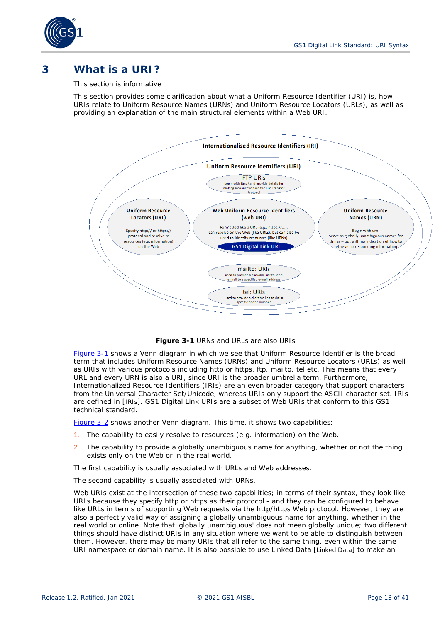

# <span id="page-12-0"></span>**3 What is a URI?**

#### *This section is informative*

This section provides some clarification about what a Uniform Resource Identifier (URI) is, how URIs relate to Uniform Resource Names (URNs) and Uniform Resource Locators (URLs), as well as providing an explanation of the main structural elements within a Web URI.



**Figure 3-1** URNs and URLs are also URIs

<span id="page-12-1"></span>*[Figure 3-1](#page-12-1)* shows a Venn diagram in which we see that Uniform Resource Identifier is the broad term that includes Uniform Resource Names (URNs) and Uniform Resource Locators (URLs) as well as URIs with various protocols including http or https, ftp, mailto, tel etc. This means that every URL and every URN is also a URI, since URI is the broader umbrella term. Furthermore, Internationalized Resource Identifiers (IRIs) are an even broader category that support characters from the Universal Character Set/Unicode, whereas URIs only support the ASCII character set. IRIs are defined in [\[IRIs\]](#page-39-7). GS1 Digital Link URIs are a subset of Web URIs that conform to this GS1 technical standard.

*[Figure 3-2](#page-13-0)* shows another Venn diagram. This time, it shows two capabilities:

- 1. The capability to easily resolve to resources (e.g. information) on the Web.
- 2. The capability to provide a globally unambiguous name for anything, whether or not the thing exists only on the Web or in the real world.

The first capability is usually associated with URLs and Web addresses.

The second capability is usually associated with URNs.

Web URIs exist at the intersection of these two capabilities; in terms of their syntax, they look like URLs because they specify http or https as their protocol - and they can be configured to behave like URLs in terms of supporting Web requests via the http/https Web protocol. However, they are also a perfectly valid way of assigning a globally unambiguous name for anything, whether in the real world or online. Note that 'globally unambiguous' does not mean globally unique; two different things should have distinct URIs in any situation where we want to be able to distinguish between them. However, there may be many URIs that all refer to the same thing, even within the same URI namespace or domain name. It is also possible to use Linked Data [\[Linked Data\]](#page-39-8) to make an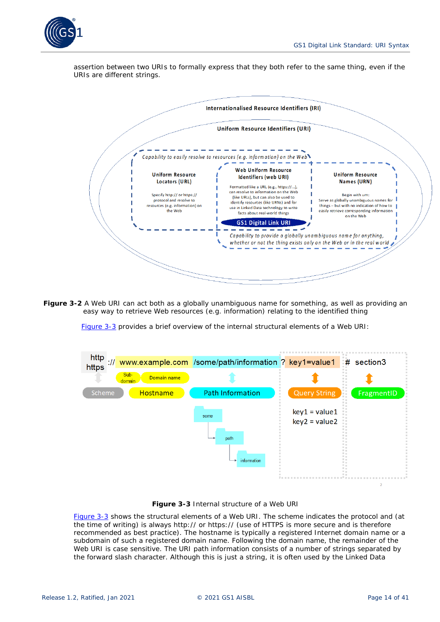

assertion between two URIs to formally express that they both refer to the same thing, even if the URIs are different strings.



<span id="page-13-0"></span>**Figure 3-2** A Web URI can act both as a globally unambiguous name for something, as well as providing an easy way to retrieve Web resources (e.g. information) relating to the identified thing

*[Figure 3-3](#page-13-1)* provides a brief overview of the internal structural elements of a Web URI:



**Figure 3-3** Internal structure of a Web URI

<span id="page-13-1"></span>*[Figure 3-3](#page-13-1)* shows the structural elements of a Web URI. The scheme indicates the protocol and (at the time of writing) is always http:// or https:// (use of HTTPS is more secure and is therefore recommended as best practice). The hostname is typically a registered Internet domain name or a subdomain of such a registered domain name. Following the domain name, the remainder of the Web URI is case sensitive. The URI path information consists of a number of strings separated by the forward slash character. Although this is just a string, it is often used by the Linked Data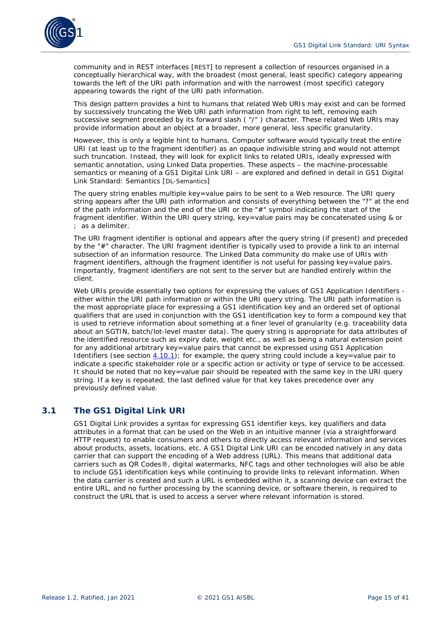

community and in REST interfaces [\[REST\]](#page-39-9) to represent a collection of resources organised in a conceptually hierarchical way, with the broadest (most general, least specific) category appearing towards the left of the URI path information and with the narrowest (most specific) category appearing towards the right of the URI path information.

This design pattern provides a hint to humans that related Web URIs may exist and can be formed by successively truncating the Web URI path information from right to left, removing each successive segment preceded by its forward slash ( "/" ) character. These related Web URIs may provide information about an object at a broader, more general, less specific granularity.

However, this is only a legible hint to humans. Computer software would typically treat the entire URI (at least up to the fragment identifier) as an opaque indivisible string and would not attempt such truncation. Instead, they will look for explicit links to related URIs, ideally expressed with semantic annotation, using Linked Data properties. These aspects – the machine-processable semantics or meaning of a GS1 Digital Link URI – are explored and defined in detail in GS1 Digital Link Standard: Semantics [\[DL-Semantics\]](#page-39-10)

The query string enables multiple key=value pairs to be sent to a Web resource. The URI query string appears after the URI path information and consists of everything between the "?" at the end of the path information and the end of the URI or the "#" symbol indicating the start of the fragment identifier. Within the URI query string, key=value pairs may be concatenated using & or ; as a delimiter.

The URI fragment identifier is optional and appears after the query string (if present) and preceded by the "#" character. The URI fragment identifier is typically used to provide a link to an internal subsection of an information resource. The Linked Data community do make use of URIs with fragment identifiers, although the fragment identifier is not useful for passing key=value pairs. Importantly, fragment identifiers are *not* sent to the server but are handled entirely within the client.

Web URIs provide essentially two options for expressing the values of GS1 Application Identifiers either within the URI path information or within the URI query string. The URI path information is the most appropriate place for expressing a GS1 identification key and an ordered set of optional qualifiers that are used in conjunction with the GS1 identification key to form a compound key that is used to retrieve information about something at a finer level of granularity (e.g. traceability data about an SGTIN, batch/lot-level master data). The query string is appropriate for data attributes of the identified resource such as expiry date, weight etc., as well as being a natural extension point for any additional arbitrary key=value pairs that cannot be expressed using GS1 Application Identifiers (see section  $\underline{4.10.1}$  $\underline{4.10.1}$  $\underline{4.10.1}$ ); for example, the query string could include a key=value pair to indicate a specific stakeholder role or a specific action or activity or type of service to be accessed. It should be noted that no key=value pair should be repeated with the same key in the URI query string. If a key is repeated, the last defined value for that key takes precedence over any previously defined value.

# <span id="page-14-0"></span>**3.1 The GS1 Digital Link URI**

GS1 Digital Link provides a syntax for expressing GS1 identifier keys, key qualifiers and data attributes in a format that can be used on the Web in an intuitive manner (via a straightforward HTTP request) to enable consumers and others to directly access relevant information and services about products, assets, locations, etc. A GS1 Digital Link URI can be encoded natively in any data carrier that can support the encoding of a Web address (URL). This means that additional data carriers such as QR Codes®, digital watermarks, NFC tags and other technologies will also be able to include GS1 identification keys while continuing to provide links to relevant information. When the data carrier is created and such a URL is embedded within it, a scanning device can extract the entire URL, and no further processing by the scanning device, or software therein, is required to construct the URL that is used to access a server where relevant information is stored.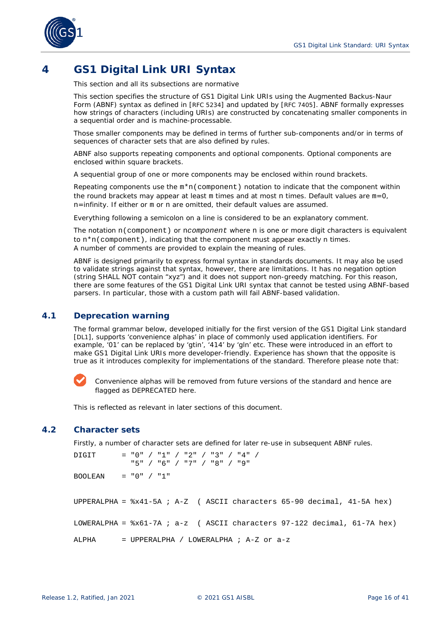

# <span id="page-15-0"></span>**4 GS1 Digital Link URI Syntax**

*This section and all its subsections are normative*

This section specifies the structure of GS1 Digital Link URIs using the Augmented Backus-Naur Form (ABNF) syntax as defined in [\[RFC 5234\]](#page-39-5) and updated by [\[RFC 7405\]](#page-40-2). ABNF formally expresses how strings of characters (including URIs) are constructed by concatenating smaller components in a sequential order and is machine-processable.

Those smaller components may be defined in terms of further sub-components and/or in terms of sequences of character sets that are also defined by rules.

ABNF also supports repeating components and optional components. Optional components are enclosed within square brackets.

A sequential group of one or more components may be enclosed within round brackets.

Repeating components use the  $m*n$  (component) notation to indicate that the component within the round brackets may appear at least m times and at most n times. Default values are m=0, n=infinity. If either or m or n are omitted, their default values are assumed.

Everything following a semicolon on a line is considered to be an explanatory comment.

The notation n(component) or n*component* where n is one or more digit characters is equivalent to n\*n(component), indicating that the component must appear exactly n times. A number of comments are provided to explain the meaning of rules.

ABNF is designed primarily to express formal syntax in standards documents. It may also be used to validate strings against that syntax, however, there are limitations. It has no negation option (string SHALL NOT contain "xyz") and it does not support non-greedy matching. For this reason, there are some features of the GS1 Digital Link URI syntax that cannot be tested using ABNF-based parsers. In particular, those with a custom path will fail ABNF-based validation.

# <span id="page-15-1"></span>**4.1 Deprecation warning**

The formal grammar below, developed initially for the first version of the GS1 Digital Link standard [\[DL1\]](#page-39-11), supports 'convenience alphas' in place of commonly used application identifiers. For example, '01' can be replaced by 'gtin', '414' by 'gln' etc. These were introduced in an effort to make GS1 Digital Link URIs more developer-friendly. Experience has shown that the opposite is true as it introduces complexity for implementations of the standard. Therefore please note that:

Convenience alphas will be removed from future versions of the standard and hence are flagged as DEPRECATED here.

This is reflected as relevant in later sections of this document.

## <span id="page-15-2"></span>**4.2 Character sets**

Firstly, a number of character sets are defined for later re-use in subsequent ABNF rules.

DIGIT = "0" / "1" / "2" / "3" / "4" / "5" / "6" / "7" / "8" / "9" BOOLEAN =  $"0" / "1"$ UPPERALPHA = %x41-5A ; A-Z ( ASCII characters 65-90 decimal, 41-5A hex) LOWERALPHA =  $8x61-7A$  ; a-z ( ASCII characters 97-122 decimal, 61-7A hex) ALPHA = UPPERALPHA / LOWERALPHA ; A-Z or a-z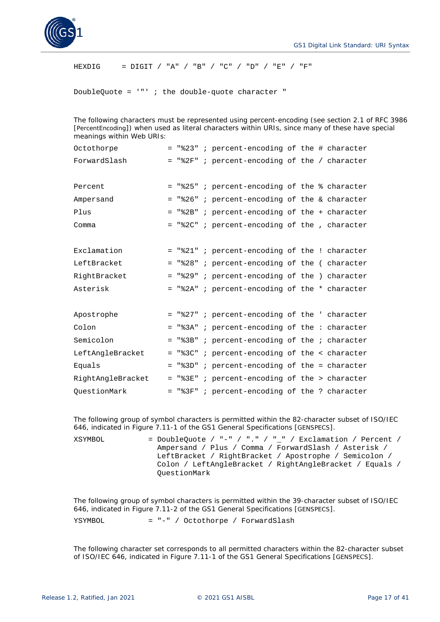

HEXDIG = DIGIT / "A" / "B" / "C" / "D" / "E" / "F"

DoubleQuote =  $'$ "' ; the double-quote character "

The following characters must be represented using percent-encoding (see section 2.1 of RFC 3986 [\[PercentEncoding\]](#page-39-12)) when used as literal characters within URIs, since many of these have special meanings within Web URIs:

| Octothorpe        |  | $=$ "%23" ; percent-encoding of the # character |  |  |
|-------------------|--|-------------------------------------------------|--|--|
| ForwardSlash      |  | = "%2F" ; percent-encoding of the / character   |  |  |
| Percent           |  | = "%25" ; percent-encoding of the % character   |  |  |
| Ampersand         |  | = "%26" ; percent-encoding of the & character   |  |  |
| Plus              |  | $=$ "%2B" ; percent-encoding of the + character |  |  |
| Comma             |  | = "%2C" ; percent-encoding of the , character   |  |  |
| Exclamation       |  | = "%21" ; percent-encoding of the ! character   |  |  |
| LeftBracket       |  | = "%28" ; percent-encoding of the (character    |  |  |
| RightBracket      |  | = "%29" ; percent-encoding of the ) character   |  |  |
| Asterisk          |  | = "%2A" ; percent-encoding of the * character   |  |  |
| Apostrophe        |  | = "%27" ; percent-encoding of the ' character   |  |  |
| Colon             |  | = "%3A" ; percent-encoding of the: character    |  |  |
| Semicolon         |  | $=$ "%3B" ; percent-encoding of the ; character |  |  |
| LeftAngleBracket  |  | = "%3C" ; percent-encoding of the < character   |  |  |
| Equals            |  | = "%3D" ; percent-encoding of the = character   |  |  |
| RightAngleBracket |  | = "%3E" ; percent-encoding of the > character   |  |  |
| OuestionMark      |  | = "%3F" ; percent-encoding of the ? character   |  |  |

The following group of symbol characters is permitted within the 82-character subset of ISO/IEC 646, indicated in Figure 7.11-1 of the GS1 General Specifications [\[GENSPECS\]](#page-39-2).

 $XSYMBOL$  = DoubleQuote / "-" / "." / "\_" / Exclamation / Percent / Ampersand / Plus / Comma / ForwardSlash / Asterisk / LeftBracket / RightBracket / Apostrophe / Semicolon / Colon / LeftAngleBracket / RightAngleBracket / Equals / QuestionMark

The following group of symbol characters is permitted within the 39-character subset of ISO/IEC 646, indicated in Figure 7.11-2 of the GS1 General Specifications [\[GENSPECS\]](#page-39-2).

YSYMBOL = "-" / Octothorpe / ForwardSlash

The following character set corresponds to all permitted characters within the 82-character subset of ISO/IEC 646, indicated in Figure 7.11-1 of the GS1 General Specifications [\[GENSPECS\]](#page-39-2).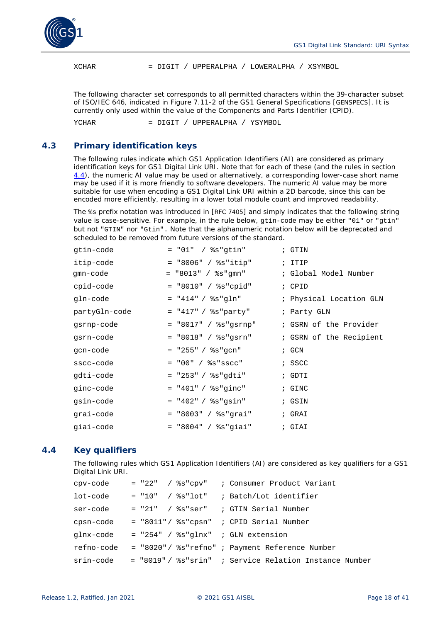

XCHAR = DIGIT / UPPERALPHA / LOWERALPHA / XSYMBOL

The following character set corresponds to all permitted characters within the 39-character subset of ISO/IEC 646, indicated in Figure 7.11-2 of the GS1 General Specifications [\[GENSPECS\]](#page-39-2). It is currently only used within the value of the Components and Parts Identifier (CPID).

YCHAR = DIGIT / UPPERALPHA / YSYMBOL

## <span id="page-17-0"></span>**4.3 Primary identification keys**

The following rules indicate which GS1 Application Identifiers (AI) are considered as primary identification keys for GS1 Digital Link URI. Note that for each of these (and the rules in section *[4.4](#page-17-1)*), the numeric AI value may be used or alternatively, a corresponding lower-case short name may be used if it is more friendly to software developers. The numeric AI value may be more suitable for use when encoding a GS1 Digital Link URI within a 2D barcode, since this can be encoded more efficiently, resulting in a lower total module count and improved readability.

The %s prefix notation was introduced in [\[RFC 7405\]](#page-40-2) and simply indicates that the following string value is case-sensitive. For example, in the rule below, gtin-code may be either "01" or "gtin" but not "GTIN" nor "Gtin". Note that the alphanumeric notation below will be deprecated and scheduled to be removed from future versions of the standard.

| gtin-code     | = "01" / %s"qtin"                    | ; GTIN                  |
|---------------|--------------------------------------|-------------------------|
| itip-code     | $=$ "8006" / $s$ s"itip"             | $;$ ITIP                |
| gmn-code      | = "8013" / %s"gmn"                   | ; Global Model Number   |
| cpid-code     | $=$ "8010" / %s"cpid"                | ; CPID                  |
| gln-code      | = "414" / %s"gln"                    | ; Physical Location GLN |
| partyGln-code | $=$ "417" / %s"party"                | ; Party GLN             |
| gsrnp-code    | $=$ "8017" / $\text{\$s"qsrnp"}$     | ; GSRN of the Provider  |
| gsrn-code     | $=$ "8018" / $\texttt{ss}$ "gsrn"    | ; GSRN of the Recipient |
| qcn-code      | $=$ "255" / $\text{\$s\text{"gcn"}}$ | ; GCN                   |
| sscc-code     | $= 200" / 8s"$ sscc"                 | ; SSCC                  |
| qdti-code     | $=$ "253" / %s"gdti"                 | ; GDTI                  |
| ginc-code     | $=$ "401" / %s"ginc"                 | ; GINC                  |
| gsin-code     | $=$ "402" / %s"gsin"                 | ; GSIN                  |
| qrai-code     | $=$ "8003" / %s"grai"                | ; GRAI                  |
| qiai-code     | $=$ "8004" / %s"giai"                | ; GIAI                  |

## <span id="page-17-1"></span>**4.4 Key qualifiers**

The following rules which GS1 Application Identifiers (AI) are considered as key qualifiers for a GS1 Digital Link URI.

| cpv-code   |                                              | = "22" / %s"cpv" ; Consumer Product Variant                      |
|------------|----------------------------------------------|------------------------------------------------------------------|
| lot-code   |                                              | $= "10"$ / $\text{\$s"lot"$ ; Batch/Lot identifier               |
| ser-code   |                                              | $= "21"$ / $s$ s"ser" ; GTIN Serial Number                       |
| cpsn-code  | = "8011"/ %s"cpsn" ; CPID Serial Number      |                                                                  |
|            | glnx-code = "254" / %s"glnx" ; GLN extension |                                                                  |
| refno-code |                                              | = "8020" / %s"refno" ; Payment Reference Number                  |
|            |                                              | srin-code = "8019" / %s"srin" ; Service Relation Instance Number |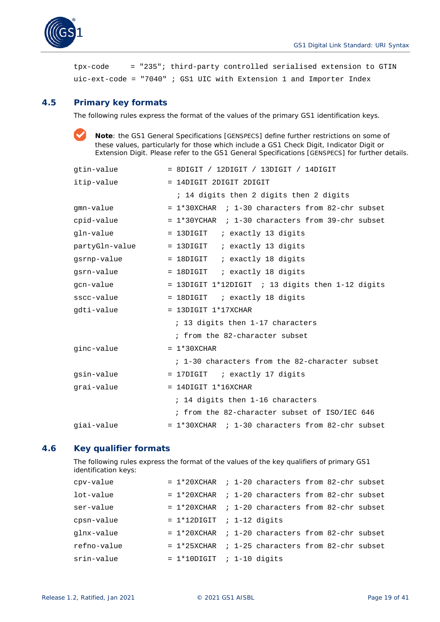

tpx-code = "235"; third-party controlled serialised extension to GTIN uic-ext-code = "7040" ; GS1 UIC with Extension 1 and Importer Index

# <span id="page-18-0"></span>**4.5 Primary key formats**

The following rules express the format of the values of the primary GS1 identification keys.

**Note**: the GS1 General Specifications [\[GENSPECS\]](#page-39-2) define further restrictions on some of these values, particularly for those which include a GS1 Check Digit, Indicator Digit or Extension Digit. Please refer to the GS1 General Specifications [\[GENSPECS\]](#page-39-2) for further details.

| qtin-value     | $=$ 8DIGIT / 12DIGIT / 13DIGIT / 14DIGIT            |
|----------------|-----------------------------------------------------|
| itip-value     | = 14DIGIT 2DIGIT 2DIGIT                             |
|                | ; 14 digits then 2 digits then 2 digits             |
| qmn-value      | $= 1*30XCHAR$ ; 1-30 characters from 82-chr subset  |
| cpid-value     | $= 1*30YCHAR$ ; 1-30 characters from 39-chr subset  |
| gln-value      | = 13DIGIT : exactly 13 digits                       |
| partyGln-value | = 13DIGIT : exactly 13 digits                       |
| qsrnp-value    | = 18DIGIT : exactly 18 digits                       |
| gsrn-value     | = 18DIGIT : exactly 18 digits                       |
| gcn-value      | $=$ 13DIGIT 1*12DIGIT ; 13 digits then 1-12 digits  |
| sscc-value     | = 18DIGIT : exactly 18 digits                       |
| gdti-value     | $= 13$ DIGIT $1*17$ XCHAR                           |
|                | ; 13 digits then 1-17 characters                    |
|                | ; from the 82-character subset                      |
| ginc-value     | $= 1*30XCHAR$                                       |
|                | ; 1-30 characters from the 82-character subset      |
| gsin-value     | = 17DIGIT : exactly 17 digits                       |
| qrai-value     | $= 14$ DIGIT $1*16$ XCHAR                           |
|                | ; 14 digits then 1-16 characters                    |
|                | ; from the 82-character subset of ISO/IEC 646       |
| giai-value     | $= 1*30$ XCHAR ; 1-30 characters from 82-chr subset |

## <span id="page-18-1"></span>**4.6 Key qualifier formats**

The following rules express the format of the values of the key qualifiers of primary GS1 identification keys:

| cpv-value   | $= 1*20XCHAR$ ; 1-20 characters from 82-chr subset  |  |  |  |
|-------------|-----------------------------------------------------|--|--|--|
| lot-value   | $= 1*20$ XCHAR ; 1-20 characters from 82-chr subset |  |  |  |
| ser-value   | $= 1*20$ XCHAR ; 1-20 characters from 82-chr subset |  |  |  |
| cpsn-value  | $= 1*12$ DIGIT ; 1-12 digits                        |  |  |  |
| qlnx-value  | $= 1*20$ XCHAR ; 1-20 characters from 82-chr subset |  |  |  |
| refno-value | $= 1*25XCHAR$ ; 1-25 characters from 82-chr subset  |  |  |  |
| srin-value  | $= 1*10$ DIGIT ; 1-10 digits                        |  |  |  |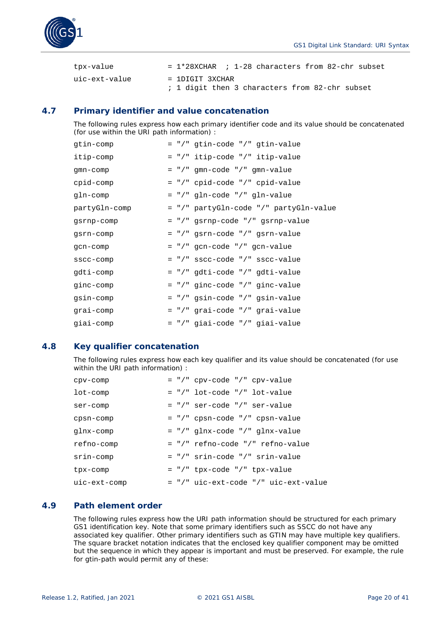



| tpx-value     | $= 1*28$ XCHAR ; 1-28 characters from 82-chr subset               |  |  |  |  |  |
|---------------|-------------------------------------------------------------------|--|--|--|--|--|
| uic-ext-value | = 1DIGIT 3XCHAR<br>; 1 digit then 3 characters from 82-chr subset |  |  |  |  |  |

# <span id="page-19-0"></span>**4.7 Primary identifier and value concatenation**

The following rules express how each primary identifier code and its value should be concatenated (for use within the URI path information) :

| gtin-comp     | = "/" gtin-code "/" gtin-value         |
|---------------|----------------------------------------|
| itip-comp     | = "/" itip-code "/" itip-value         |
| gmn-comp      | = "/" gmn-code "/" gmn-value           |
| cpid-comp     | = "/" cpid-code "/" cpid-value         |
| gln-comp      | = "/" gln-code "/" gln-value           |
| partyGln-comp | = "/" partyGln-code "/" partyGln-value |
| gsrnp-comp    | = "/" gsrnp-code "/" gsrnp-value       |
| gsrn-comp     | = "/" gsrn-code "/" gsrn-value         |
| gcn-comp      | $=$ "/" gcn-code "/" gcn-value         |
| sscc-comp     | $=$ "/" sscc-code "/" sscc-value       |
| gdti-comp     | = "/" gdti-code "/" gdti-value         |
| ginc-comp     | $=$ "/" ginc-code "/" ginc-value       |
| gsin-comp     | = "/" gsin-code "/" gsin-value         |
| grai-comp     | = "/" grai-code "/" grai-value         |
| qiai-comp     | = "/" giai-code "/" giai-value         |

## <span id="page-19-1"></span>**4.8 Key qualifier concatenation**

The following rules express how each key qualifier and its value should be concatenated (for use within the URI path information) :

| cpv-comp     | $=$ "/" cpv-code "/" cpv-value         |
|--------------|----------------------------------------|
| lot-comp     | $=$ "/" lot-code "/" lot-value         |
| ser-comp     | $=$ "/" ser-code "/" ser-value         |
| cpsn-comp    | $=$ "/" cpsn-code "/" cpsn-value       |
| qlnx-comp    | $=$ "/" qlnx-code "/" qlnx-value       |
| refno-comp   | $=$ "/" refno-code "/" refno-value     |
| srin-comp    | $=$ "/" srin-code "/" srin-value       |
| tpx-comp     | $=$ "/" tpx-code "/" tpx-value         |
| uic-ext-comp | $=$ "/" uic-ext-code "/" uic-ext-value |

## <span id="page-19-2"></span>**4.9 Path element order**

The following rules express how the URI path information should be structured for each primary GS1 identification key. Note that some primary identifiers such as SSCC do not have any associated key qualifier. Other primary identifiers such as GTIN may have multiple key qualifiers. The square bracket notation indicates that the enclosed key qualifier component may be omitted but the sequence in which they appear is important and must be preserved. For example, the rule for gtin-path would permit any of these: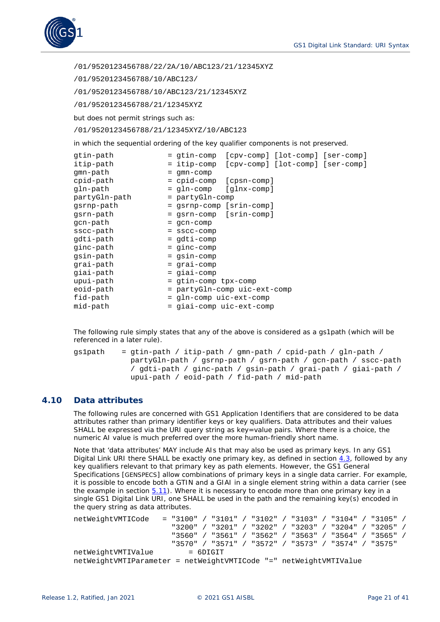

/01/9520123456788/22/2A/10/ABC123/21/12345XYZ

/01/9520123456788/10/ABC123/

/01/9520123456788/10/ABC123/21/12345XYZ

/01/9520123456788/21/12345XYZ

but does not permit strings such as:

/01/9520123456788/21/12345XYZ/10/ABC123

in which the sequential ordering of the key qualifier components is not preserved.

| gtin-path     | = gtin-comp                  | [cpv-comp] [lot-comp] [ser-comp] |                                  |  |
|---------------|------------------------------|----------------------------------|----------------------------------|--|
| itip-path     | = itip-comp                  |                                  | [cpv-comp] [lot-comp] [ser-comp] |  |
| gmn-path      | $=$ gmn-comp                 |                                  |                                  |  |
| cpid-path     | = cpid-comp                  | [cpsn-comp]                      |                                  |  |
| gln-path      | = gln-comp                   | [glnx-comp]                      |                                  |  |
| partyGln-path | = partyGln-comp              |                                  |                                  |  |
| gsrnp-path    | = gsrnp-comp [srin-comp]     |                                  |                                  |  |
| gsrn-path     | = gsrn-comp [srin-comp]      |                                  |                                  |  |
| gcn-path      | $=$ gcn-comp                 |                                  |                                  |  |
| sscc-path     | $=$ sscc-comp                |                                  |                                  |  |
| gdti-path     | = gdti-comp                  |                                  |                                  |  |
| ginc-path     | $=$ ginc-comp                |                                  |                                  |  |
| gsin-path     | $=$ gsin-comp                |                                  |                                  |  |
| grai-path     | = grai-comp                  |                                  |                                  |  |
| giai-path     | = giai-comp                  |                                  |                                  |  |
| upui-path     | = gtin-comp tpx-comp         |                                  |                                  |  |
| eoid-path     | = partyGln-comp uic-ext-comp |                                  |                                  |  |
| fid-path      | = gln-comp uic-ext-comp      |                                  |                                  |  |
| mid-path      | = giai-comp uic-ext-comp     |                                  |                                  |  |

The following rule simply states that any of the above is considered as a gs1path (which will be referenced in a later rule).

 $qslpath = qtin-path / itip-path / qmn-path / cpid-path / qln-path /$  partyGln-path / gsrnp-path / gsrn-path / gcn-path / sscc-path / gdti-path / ginc-path / gsin-path / grai-path / giai-path / upui-path / eoid-path / fid-path / mid-path

# <span id="page-20-0"></span>**4.10 Data attributes**

The following rules are concerned with GS1 Application Identifiers that are considered to be data attributes rather than primary identifier keys or key qualifiers. Data attributes and their values SHALL be expressed via the URI query string as key=value pairs. Where there is a choice, the numeric AI value is much preferred over the more human-friendly short name.

Note that 'data attributes' MAY include AIs that may also be used as primary keys. In any GS1 Digital Link URI there SHALL be exactly one primary key, as defined in section *[4.3](#page-17-0)*, followed by any key qualifiers relevant to that primary key as path elements. However, the GS1 General Specifications [\[GENSPECS\]](#page-39-2) allow combinations of primary keys in a single data carrier. For example, it is possible to encode both a GTIN and a GIAI in a single element string within a data carrier (see the example in section *[5.11](#page-34-0)*). Where it is necessary to encode more than one primary key in a single GS1 Digital Link URI, one SHALL be used in the path and the remaining key(s) encoded in the query string as data attributes.

```
netWeightVMTICode = "3100" / "3101" / "3102" / "3103" / "3104" / "3105" /
                       "3200" / "3201" / "3202" / "3203" / "3204" / "3205" /
                       "3560" / "3561" / "3562" / "3563" / "3564" / "3565" /
                       "3570" / "3571" / "3572" / "3573" / "3574" / "3575" 
netWeightVMTIValue
netWeightVMTIParameter = netWeightVMTICode "=" netWeightVMTIValue
```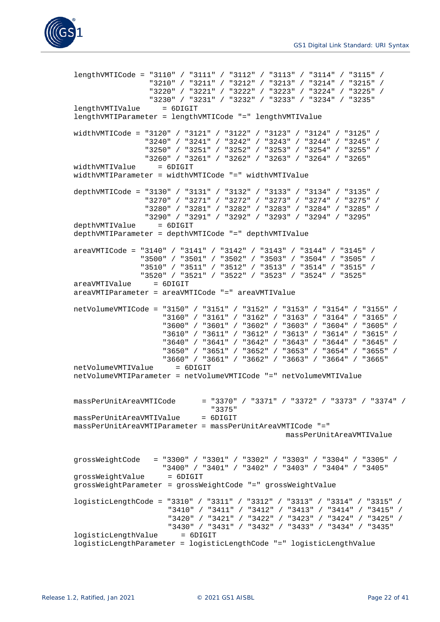

```
lengthVMTICode = "3110" / "3111" / "3112" / "3113" / "3114" / "3115" /
                  "3210" / "3211" / "3212" / "3213" / "3214" / "3215" /
                 "3220" / "3221" / "3222" / "3223" / "3224" / "3225" / 
                 "3230" / "3231" / "3232" / "3233" / "3234" / "3235"
lengthVMTIValue = 6DIGIT
lengthVMTIParameter = lengthVMTICode "=" lengthVMTIValue
widthVMTICode = "3120" / "3121" / "3122" / "3123" / "3124" / "3125" /
                 "3240" / "3241" / "3242" / "3243" / "3244" / "3245" / 
                 "3250" / "3251" / "3252" / "3253" / "3254" / "3255" / 
                 "3260" / "3261" / "3262" / "3263" / "3264" / "3265" 
widthVMTIValue
widthVMTIParameter = widthVMTICode "=" widthVMTIValue
depthVMTICode = "3130" / "3131" / "3132" / "3133" / "3134" / "3135" / 
                 "3270" / "3271" / "3272" / "3273" / "3274" / "3275" / 
                 "3280" / "3281" / "3282" / "3283" / "3284" / "3285" / 
                 "3290" / "3291" / "3292" / "3293" / "3294" / "3295" 
depthVMTIValue = 6DIGIT
depthVMTIParameter = depthVMTICode "=" depthVMTIValue
areaVMTICode = "3140" / "3141" / "3142" / "3143" / "3144" / "3145" /
                "3500" / "3501" / "3502" / "3503" / "3504" / "3505" / 
                "3510" / "3511" / "3512" / "3513" / "3514" / "3515" / 
                "3520" / "3521" / "3522" / "3523" / "3524" / "3525" 
areaVMTIValue = 6DIGIT
areaVMTIParameter = areaVMTICode "=" areaVMTIValue
netVolumeVMTICode = "3150" / "3151" / "3152" / "3153" / "3154" / "3155" /
                     "3160" / "3161" / "3162" / "3163" / "3164" / "3165" / 
                    "3600" / "3601" / "3602" / "3603" / "3604" / "3605" /
                    "3610" / "3611" / "3612" / "3613" / "3614" / "3615" /
                    "3640" / "3641" / "3642" / "3643" / "3644" / "3645" /
                    "3650" / "3651" / "3652" / "3653" / "3654" / "3655" /
                    "3660" / "3661" / "3662" / "3663" / "3664" / "3665" 
netVolumeVMTIValue
netVolumeVMTIParameter = netVolumeVMTICode "=" netVolumeVMTIValue
massPerUnitAreaVMTICode = "3370" / "3371" / "3372" / "3373" / "3374" / 
                                "3375" 
massPerUnitAreaVMTIValue = 6DIGIT
massPerUnitAreaVMTIParameter = massPerUnitAreaVMTICode "="
                                                massPerUnitAreaVMTIValue
grossWeightCode = "3300" / "3301" / "3302" / "3303" / "3304" / "3305" / 
                    "3400" / "3401" / "3402" / "3403" / "3404" / "3405"
grossWeightValue
grossWeightParameter = grossWeightCode "=" grossWeightValue
logisticLengthCode = "3310" / "3311" / "3312" / "3313" / "3314" / "3315" /
                      "3410" / "3411" / "3412" / "3413" / "3414" / "3415" /
                     "3420" / "3421" / "3422" / "3423" / "3424" / "3425" /
                     "3430" / "3431" / "3432" / "3433" / "3434" / "3435"
logisticLengthValue
logisticLengthParameter = logisticLengthCode "=" logisticLengthValue
```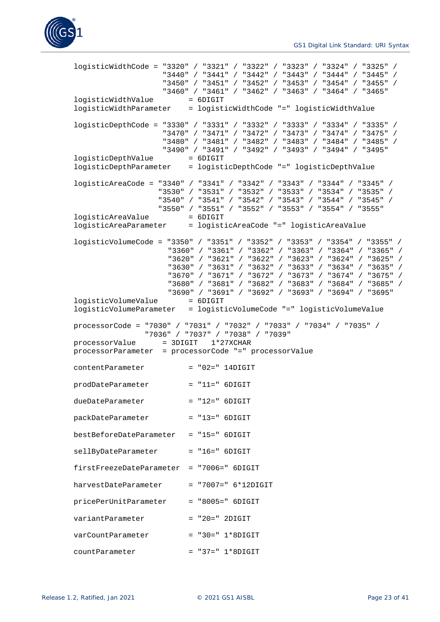

```
logisticWidthCode = "3320" / "3321" / "3322" / "3323" / "3324" / "3325" /
 "3440" / "3441" / "3442" / "3443" / "3444" / "3445" / 
                   "3450" / "3451" / "3452" / "3453" / "3454" / "3455" / 
                   "3460" / "3461" / "3462" / "3463" / "3464" / "3465"
logisticWidthValue
logisticWidthParameter = logisticWidthCode "=" logisticWidthValue
logisticDepthCode = "3330" / "3331" / "3332" / "3333" / "3334" / "3335" /
                    "3470" / "3471" / "3472" / "3473" / "3474" / "3475" /
                   "3480" / "3481" / "3482" / "3483" / "3484" / "3485" / 
                   "3490" / "3491" / "3492" / "3493" / "3494" / "3495" 
logisticDepthValue
logisticDepthParameter = logisticDepthCode "=" logisticDepthValue
logisticAreaCode = "3340" / "3341" / "3342" / "3343" / "3344" / "3345" /
                   "3530" / "3531" / "3532" / "3533" / "3534" / "3535" /
                  "3540" / "3541" / "3542" / "3543" / "3544" / "3545" /
                  "3550" / "3551" / "3552" / "3553" / "3554" / "3555" 
logisticAreaValue = 6DIGIT
logisticAreaParameter = logisticAreaCode "=" logisticAreaValue
logisticVolumeCode = "3350" / "3351" / "3352" / "3353" / "3354" / "3355" /
                    "3360" / "3361" / "3362" / "3363" / "3364" / "3365" /
                    "3620" / "3621" / "3622" / "3623" / "3624" / "3625" /
                    "3630" / "3631" / "3632" / "3633" / "3634" / "3635" /
                    "3670" / "3671" / "3672" / "3673" / "3674" / "3675" /
                    "3680" / "3681" / "3682" / "3683" / "3684" / "3685" /
                    "3690" / "3691" / "3692" / "3693" / "3694" / "3695" 
logisticVolumeValue
logisticVolumeParameter = logisticVolumeCode "=" logisticVolumeValue
processorCode = "7030" / "7031" / "7032" / "7033" / "7034" / "7035" /
                "7036" / "7037" / "7038" / "7039" 
processorValue = 3DIGIT 1*27XCHAR
processorParameter = processorCode "=" processorValue
contentParameter = "02=" 14DIGIT
prodDateParameter = "11=" 6DIGIT
dueDateParameter = "12=" 6DIGIT
packDateParameter = "13=" 6DIGIT
bestBeforeDateParameter = "15=" 6DIGIT
sellByDateParameter = "16=" 6DIGIT
firstFreezeDateParameter = "7006=" 6DIGIT
harvestDateParameter = "7007=" 6*12DIGIT
pricePerUnitParameter = "8005=" 6DIGIT
variantParameter = "20=" 2DIGIT
varCountParameter = "30=" 1*8DIGIT
countParameter = "37=" 1*8DIGIT
```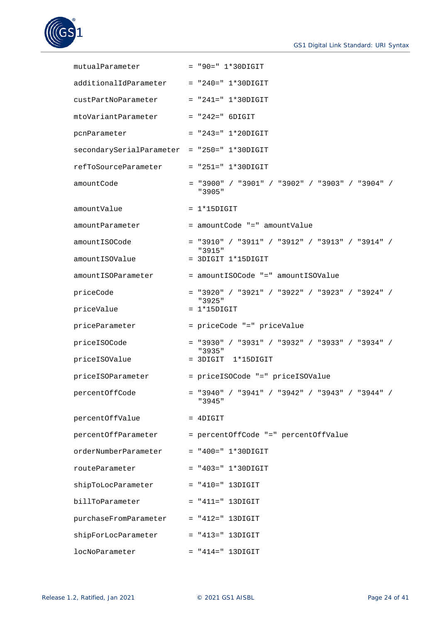

| mutualParameter                             | $= "90 = " 1*30DIGIT$                                      |
|---------------------------------------------|------------------------------------------------------------|
| additionalIdParameter                       | $= "240 = " 1*30DIGIT$                                     |
| custPartNoParameter                         | $= "241 = " 1*30DIGIT$                                     |
| mtoVariantParameter                         | $= "242 = " 6DIGIT$                                        |
| pcnParameter                                | $= "243 = " 1*20DIGIT$                                     |
| secondarySerialParameter = "250=" 1*30DIGIT |                                                            |
| refToSourceParameter                        | $=$ "251=" 1*30DIGIT                                       |
| amountCode                                  | $=$ "3900" / "3901" / "3902" / "3903" / "3904" /<br>"3905" |
| amountValue                                 | $= 1*15DIGIT$                                              |
| amountParameter                             | = amountCode "=" amountValue                               |
| amountISOCode                               | $=$ "3910" / "3911" / "3912" / "3913" / "3914" /<br>"3915" |
| amountISOValue                              | = 3DIGIT 1*15DIGIT                                         |
| amountISOParameter                          | = amountISOCode "=" amountISOValue                         |
| priceCode                                   | $=$ "3920" / "3921" / "3922" / "3923" / "3924" /<br>"3925" |
| priceValue                                  | $= 1*15DIGIT$                                              |
| priceParameter                              | = priceCode "=" priceValue                                 |
| priceISOCode                                | $=$ "3930" / "3931" / "3932" / "3933" / "3934" /<br>"3935" |
| priceISOValue                               | $= 3$ DIGIT $1*15$ DIGIT                                   |
| priceISOParameter                           | = priceISOCode "=" priceISOValue                           |
| percentOffCode                              | $=$ "3940" / "3941" / "3942" / "3943" / "3944" /<br>"3945" |
| percentOffValue                             | $=$ 4DIGIT                                                 |
|                                             | percentOffParameter = percentOffCode "=" percentOffValue   |
| orderNumberParameter                        | $= "400 = " 1*30DIGIT$                                     |
| routeParameter                              | $= "403 = " 1*30DIGIT$                                     |
| shipToLocParameter                          | $= "410 = " 13DIGIT$                                       |
| billToParameter                             | $= "411 = " 13DIGIT$                                       |
| purchaseFromParameter = "412=" 13DIGIT      |                                                            |
| shipForLocParameter                         | $= "413 = " 13DIGIT$                                       |
| locNoParameter                              | $= "414 = " 13DIGIT$                                       |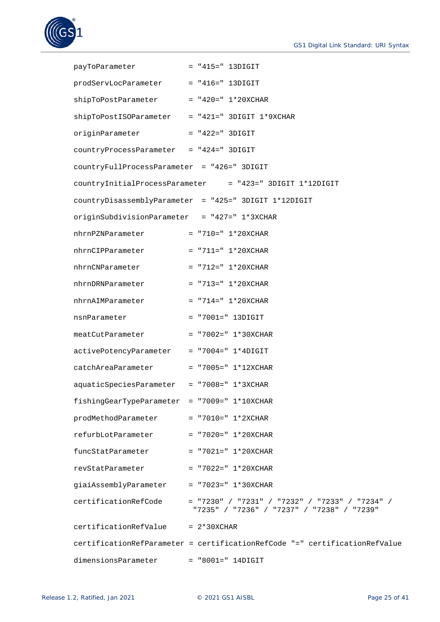

| payToParameter = "415=" 13DIGIT                 |                                                                                                |
|-------------------------------------------------|------------------------------------------------------------------------------------------------|
| prodServLocParameter = "416=" 13DIGIT           |                                                                                                |
| shipToPostParameter = "420=" 1*20XCHAR          |                                                                                                |
| shipToPostISOParameter = "421=" 3DIGIT 1*9XCHAR |                                                                                                |
| originParameter                                 | $= "422=" " 3DIGIT"$                                                                           |
| countryProcessParameter = "424=" 3DIGIT         |                                                                                                |
| countryFullProcessParameter = "426=" 3DIGIT     |                                                                                                |
|                                                 | countryInitialProcessParameter = "423=" 3DIGIT 1*12DIGIT                                       |
|                                                 | countryDisassemblyParameter = "425=" 3DIGIT 1*12DIGIT                                          |
| originSubdivisionParameter = "427=" 1*3XCHAR    |                                                                                                |
| nhrnPZNParameter                                | $= "710 = " 1*20XCHAR$                                                                         |
| $nhrnCIPParameter$ = "711=" 1*20XCHAR           |                                                                                                |
| $nhrnCNParameter$ = "712=" 1*20XCHAR            |                                                                                                |
| $nhrnDRNParameter$ = "713=" 1*20XCHAR           |                                                                                                |
| nhrnAIMParameter                                | $= "714 = " 1*20XCHAR$                                                                         |
| nsnParameter                                    | $= "7001 = " 13DIGIT$                                                                          |
| meatCutParameter = "7002=" 1*30XCHAR            |                                                                                                |
| activePotencyParameter = "7004=" 1*4DIGIT       |                                                                                                |
| catchAreaParameter = "7005=" 1*12XCHAR          |                                                                                                |
| aquaticSpeciesParameter = "7008=" 1*3XCHAR      |                                                                                                |
| fishingGearTypeParameter = "7009=" 1*10XCHAR    |                                                                                                |
| prodMethodParameter                             | $= "7010 = " 1*2XCHAR$                                                                         |
| refurbLotParameter                              | $= "7020 = " 1*20XCHAR$                                                                        |
| funcStatParameter                               | $= "7021 = " 1*20XCHAR$                                                                        |
| revStatParameter                                | $= "7022 = " 1*20XCHAR$                                                                        |
| giaiAssemblyParameter                           | $= "7023 = " 1*30XCHAR$                                                                        |
| certificationRefCode                            | $=$ "7230" / "7231" / "7232" / "7233" / "7234" /<br>"7235" / "7236" / "7237" / "7238" / "7239" |
| certificationRefValue                           | $= 2*30XCHAR$                                                                                  |
|                                                 | certificationRefParameter = certificationRefCode "=" certificationRefValue                     |
| dimensionsParameter                             | $= "8001 = "14DIGIT$                                                                           |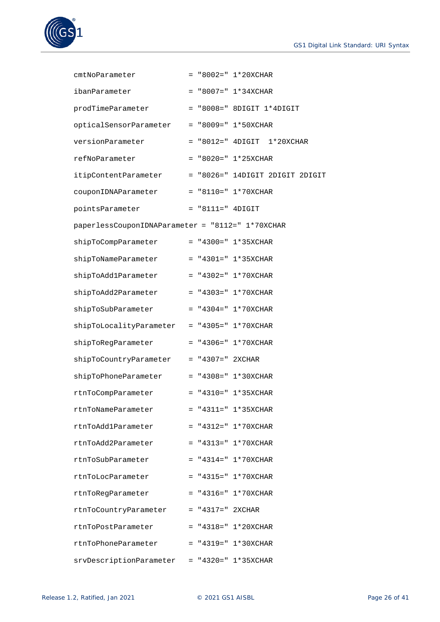

| cmtNoParameter                                   |                     | $=$ "8002=" $1*20XCHAR$           |
|--------------------------------------------------|---------------------|-----------------------------------|
| ibanParameter                                    |                     | $= "8007 = " 1*34XCHAR$           |
| prodTimeParameter                                |                     | $=$ "8008=" 8DIGIT $1*4$ DIGIT    |
| opticalSensorParameter                           |                     | $= "8009 = " 1*50XCHAR$           |
| versionParameter                                 |                     | $= "8012 = " 4DIGIT$<br>1*20XCHAR |
| refNoParameter                                   |                     | $= "8020 = " 1*25XCHAR$           |
| itipContentParameter                             |                     | = "8026=" 14DIGIT 2DIGIT 2DIGIT   |
| couponIDNAParameter                              |                     | $=$ "8110=" 1*70XCHAR             |
| pointsParameter                                  | $=$ "8111=" 4DIGIT  |                                   |
| paperlessCouponIDNAParameter = "8112=" 1*70XCHAR |                     |                                   |
| shipToCompParameter                              |                     | $= "4300 = " 1*35XCHAR$           |
| shipToNameParameter                              |                     | $=$ "4301=" 1*35XCHAR             |
| shipToAdd1Parameter                              |                     | $=$ "4302=" $1*70XCHAR$           |
| shipToAdd2Parameter                              |                     | $=$ "4303=" 1*70XCHAR             |
| shipToSubParameter                               |                     | $=$ "4304=" 1*70XCHAR             |
| shipToLocalityParameter                          |                     | $=$ "4305=" $1*70XCHAR$           |
| shipToRegParameter                               |                     | $=$ "4306=" $1*70XCHAR$           |
| shipToCountryParameter                           | $= "4307 = "2XCHAR$ |                                   |
| shipToPhoneParameter                             |                     | $=$ "4308=" $1*30XCHAR$           |
| rtnToCompParameter                               |                     | $=$ "4310=" $1*35XCHAR$           |
| rtnToNameParameter                               |                     | $=$ "4311=" 1*35XCHAR             |
| rtnToAdd1Parameter                               |                     | $=$ "4312=" $1*70XCHAR$           |
| rtnToAdd2Parameter                               |                     | $=$ "4313=" 1*70XCHAR             |
| rtnToSubParameter                                |                     | $=$ "4314=" 1*70XCHAR             |
| rtnToLocParameter                                |                     | $= "4315 = " 1*70XCHAR$           |
| rtnToRegParameter                                |                     | $= "4316 = " 1*70XCHAR$           |
| rtnToCountryParameter                            | $= "4317 = "2XCHAR$ |                                   |
| rtnToPostParameter                               |                     | $=$ "4318=" $1*20XCHAR$           |
| rtnToPhoneParameter                              |                     | $= "4319 = " 1*30XCHAR$           |
| srvDescriptionParameter                          |                     | $= "4320 = " 1*35XCHAR$           |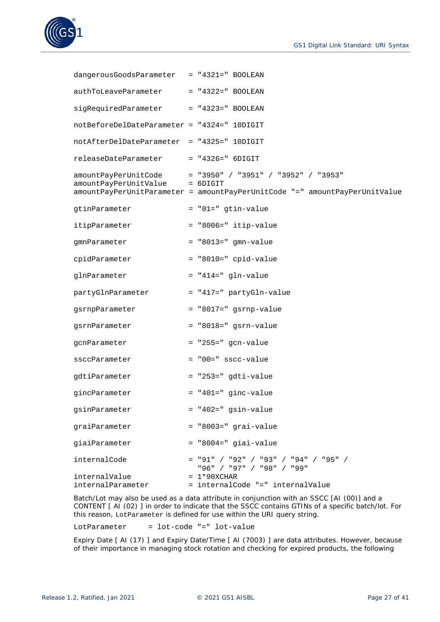



| dangerousGoodsParameter = "4321=" BOOLEAN   |                                                                                                                                                       |
|---------------------------------------------|-------------------------------------------------------------------------------------------------------------------------------------------------------|
| authToLeaveParameter                        | $= "4322 = " BOOLEAN$                                                                                                                                 |
| sigRequiredParameter                        | $= "4323 = " BOOLEAN$                                                                                                                                 |
| notBeforeDelDateParameter = "4324=" 10DIGIT |                                                                                                                                                       |
| notAfterDelDateParameter = "4325=" 10DIGIT  |                                                                                                                                                       |
| releaseDateParameter                        | $= "4326 = " 6DIGIT$                                                                                                                                  |
| amountPayPerUnitValue                       | amountPayPerUnitCode = "3950" / "3951" / "3952" / "3953"<br>$= 6$ DIGIT<br>amountPayPerUnitParameter = amountPayPerUnitCode "=" amountPayPerUnitValue |
| gtinParameter                               | $=$ "01=" gtin-value                                                                                                                                  |
| itipParameter                               | = "8006=" itip-value                                                                                                                                  |
| gmnParameter                                | $=$ "8013=" gmn-value                                                                                                                                 |
| cpidParameter                               | $=$ "8010=" cpid-value                                                                                                                                |
| glnParameter                                | $=$ "414=" gln-value                                                                                                                                  |
| partyGlnParameter                           | = "417=" partyGln-value                                                                                                                               |
| gsrnpParameter                              | = "8017=" gsrnp-value                                                                                                                                 |
| gsrnParameter                               | $=$ "8018=" gsrn-value                                                                                                                                |
| gcnParameter                                | $=$ "255=" gcn-value                                                                                                                                  |
| ssccParameter                               | $=$ "00=" sscc-value                                                                                                                                  |
| gdtiParameter                               | $=$ "253=" gdti-value                                                                                                                                 |
| gincParameter                               | $=$ "401=" ginc-value                                                                                                                                 |
| gsinParameter                               | $=$ "402=" gsin-value                                                                                                                                 |
| graiParameter                               | = "8003=" grai-value                                                                                                                                  |
| giaiParameter                               | $=$ "8004=" giai-value                                                                                                                                |
| internalCode                                | $= "91" / "92" / "93" / "94" / "95" /$<br>"96" / "97" / "98" / "99"                                                                                   |
| internalValue<br>internalParameter          | $= 1*90XCHAR$<br>= internalCode "=" internalValue                                                                                                     |

Batch/Lot may also be used as a data attribute in conjunction with an SSCC [AI (00)] and a CONTENT [ AI (02) ] in order to indicate that the SSCC contains GTINs of a specific batch/lot. For this reason, LotParameter is defined for use within the URI query string.

 $LotParameter = lot-code "=" lot-value"$ 

Expiry Date [ AI (17) ] and Expiry Date/Time [ AI (7003) ] are data attributes. However, because of their importance in managing stock rotation and checking for expired products, the following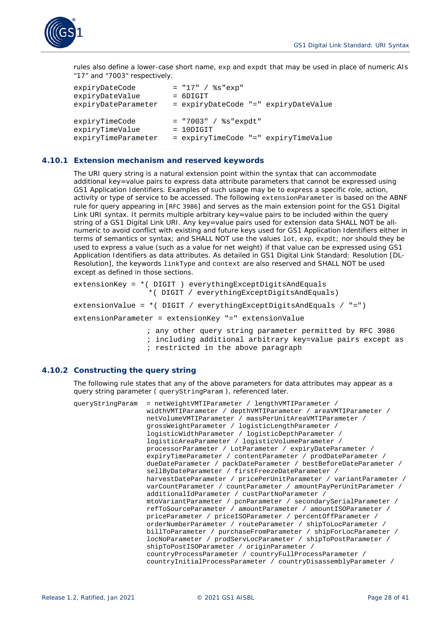

rules also define a lower-case short name, exp and expdt that may be used in place of numeric AIs "17" and "7003" respectively.

```
expiryDateCode = "17" / %s"exp"
expiryDateValue = 6DIGIT
expiryDateParameter = expiryDateCode "=" expiryDateValue
\begin{array}{rcl}\n\text{expryTimeCode} & = "7003" / %s" \text{expdt"} \\
\text{expryTimeValue} & = 10 \text{Diff} \end{array}expiryTimeValue
expiryTimeParameter = expiryTimeCode "=" expiryTimeValue
```
## <span id="page-27-0"></span>**4.10.1 Extension mechanism and reserved keywords**

The URI query string is a natural extension point within the syntax that can accommodate additional key=value pairs to express data attribute parameters that cannot be expressed using GS1 Application Identifiers. Examples of such usage may be to express a specific role, action, activity or type of service to be accessed. The following extensionParameter is based on the ABNF rule for query appearing in [\[RFC 3986\]](#page-39-13) and serves as the main extension point for the GS1 Digital Link URI syntax. It permits multiple arbitrary key=value pairs to be included within the query string of a GS1 Digital Link URI. Any key=value pairs used for extension data SHALL NOT be allnumeric to avoid conflict with existing and future keys used for GS1 Application Identifiers either in terms of semantics or syntax; and SHALL NOT use the values lot, exp, expdt; nor should they be used to express a value (such as a value for net weight) if that value can be expressed using GS1 Application Identifiers as data attributes. As detailed in GS1 Digital Link Standard: Resolution [DL-Resolution], the keywords linkType and context are also reserved and SHALL NOT be used except as defined in those sections.

```
extensionKey = *( DIGIT ) everythingExceptDigitsAndEquals 
                 *( DIGIT / everythingExceptDigitsAndEquals) 
extensionValue = *( DIGIT / everythingExceptDigitsAndEquals / "=")
extensionParameter = extensionKey "=" extensionValue
                ; any other query string parameter permitted by RFC 3986
```
; including additional arbitrary key=value pairs except as

; restricted in the above paragraph

#### <span id="page-27-1"></span>**4.10.2 Constructing the query string**

The following rule states that any of the above parameters for data attributes may appear as a query string parameter ( queryStringParam ), referenced later.

| queryStringParam | $=$ netWeightVMTIParameter / lengthVMTIParameter /                |
|------------------|-------------------------------------------------------------------|
|                  | widthVMTIParameter / depthVMTIParameter / areaVMTIParameter /     |
|                  | netVolumeVMTIParameter / massPerUnitAreaVMTIParameter /           |
|                  | qrossWeightParameter / logisticLengthParameter /                  |
|                  | logisticWidthParameter / logisticDepthParameter /                 |
|                  | logisticAreaParameter / logisticVolumeParameter /                 |
|                  | processorParameter / LotParameter / expiryDateParameter /         |
|                  | expiryTimeParameter / contentParameter / prodDateParameter /      |
|                  | dueDateParameter / packDateParameter / bestBeforeDateParameter /  |
|                  | sellByDateParameter / firstFreezeDateParameter /                  |
|                  | harvestDateParameter / pricePerUnitParameter / variantParameter / |
|                  | varCountParameter / countParameter / amountPayPerUnitParameter /  |
|                  | additionalIdParameter / custPartNoParameter /                     |
|                  | mtoVariantParameter / pcnParameter / secondarySerialParameter /   |
|                  | refToSourceParameter / amountParameter / amountISOParameter /     |
|                  | priceParameter / priceISOParameter / percentOffParameter /        |
|                  | orderNumberParameter / routeParameter / shipToLocParameter /      |
|                  | billToParameter / purchaseFromParameter / shipForLocParameter /   |
|                  | locNoParameter / prodServLocParameter / shipToPostParameter /     |
|                  | shipToPostISOParameter / originParameter /                        |
|                  | countryProcessParameter / countryFullProcessParameter /           |
|                  | countryInitialProcessParameter / countryDisassemblyParameter /    |
|                  |                                                                   |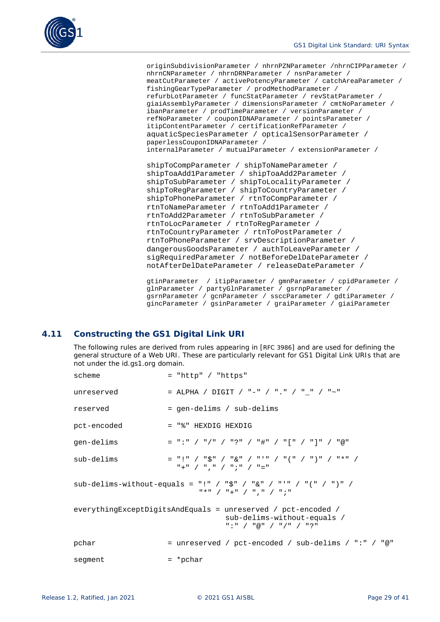originSubdivisionParameter / nhrnPZNParameter /nhrnCIPParameter / nhrnCNParameter / nhrnDRNParameter / nsnParameter / meatCutParameter / activePotencyParameter / catchAreaParameter / fishingGearTypeParameter / prodMethodParameter / refurbLotParameter / funcStatParameter / revStatParameter / giaiAssemblyParameter / dimensionsParameter / cmtNoParameter / ibanParameter / prodTimeParameter / versionParameter / refNoParameter / couponIDNAParameter / pointsParameter / itipContentParameter / certificationRefParameter / aquaticSpeciesParameter / opticalSensorParameter / paperlessCouponIDNAParameter / internalParameter / mutualParameter / extensionParameter /

```
shipToCompParameter / shipToNameParameter / 
shipToaAdd1Parameter / shipToaAdd2Parameter /
shipToSubParameter / shipToLocalityParameter /
shipToRegParameter / shipToCountryParameter /
shipToPhoneParameter / rtnToCompParameter /
rtnToNameParameter / rtnToAdd1Parameter /
rtnToAdd2Parameter / rtnToSubParameter /
rtnToLocParameter / rtnToRegParameter /
rtnToCountryParameter / rtnToPostParameter /
rtnToPhoneParameter / srvDescriptionParameter /
dangerousGoodsParameter / authToLeaveParameter /
sigRequiredParameter / notBeforeDelDateParameter /
notAfterDelDateParameter / releaseDateParameter /
```

```
gtinParameter / itipParameter / gmnParameter / cpidParameter /
glnParameter / partyGlnParameter / gsrnpParameter / 
gsrnParameter / gcnParameter / ssccParameter / gdtiParameter /
gincParameter / gsinParameter / graiParameter / giaiParameter
```
# <span id="page-28-0"></span>**4.11 Constructing the GS1 Digital Link URI**

The following rules are derived from rules appearing in [\[RFC 3986\]](#page-39-13) and are used for defining the general structure of a Web URI. These are particularly relevant for GS1 Digital Link URIs that are not under the id.gs1.org domain.

| scheme      | $=$ "http" / "https"                                                                                                                                                                                                                                                                                                                                                                    |
|-------------|-----------------------------------------------------------------------------------------------------------------------------------------------------------------------------------------------------------------------------------------------------------------------------------------------------------------------------------------------------------------------------------------|
| unreserved  | = ALPHA / DIGIT / "-" / "." / "_" / "~"                                                                                                                                                                                                                                                                                                                                                 |
| reserved    | = gen-delims / sub-delims                                                                                                                                                                                                                                                                                                                                                               |
| pct-encoded | = "%" HEXDIG HEXDIG                                                                                                                                                                                                                                                                                                                                                                     |
| qen-delims  | $=$ ":" / "/" / "?" / "#" / "[" / "]" / "@"                                                                                                                                                                                                                                                                                                                                             |
| sub-delims  | $=$ "!" / " $\zeta$ " / " $\&$ " / "'" / "(" / ")" / "*" /<br>$"$ +" / ", " / "; " / "="                                                                                                                                                                                                                                                                                                |
|             | sub-delims-without-equals = "!" / "\$" / "&" / "'" / "(" / ")" /<br>$\frac{1}{2}$ $\frac{1}{2}$ $\frac{1}{2}$ $\frac{1}{2}$ $\frac{1}{2}$ $\frac{1}{2}$ $\frac{1}{2}$ $\frac{1}{2}$ $\frac{1}{2}$ $\frac{1}{2}$ $\frac{1}{2}$ $\frac{1}{2}$ $\frac{1}{2}$ $\frac{1}{2}$ $\frac{1}{2}$ $\frac{1}{2}$ $\frac{1}{2}$ $\frac{1}{2}$ $\frac{1}{2}$ $\frac{1}{2}$ $\frac{1}{2}$ $\frac{1}{2}$ |
|             | everythingExceptDigitsAndEquals = unreserved / pct-encoded /<br>sub-delims-without-equals /<br>$"$ :" / "@" / "/" / "?"                                                                                                                                                                                                                                                                 |
| pchar       | = unreserved / pct-encoded / sub-delims / ":" / "@"                                                                                                                                                                                                                                                                                                                                     |
| segment     | $=$ *pchar                                                                                                                                                                                                                                                                                                                                                                              |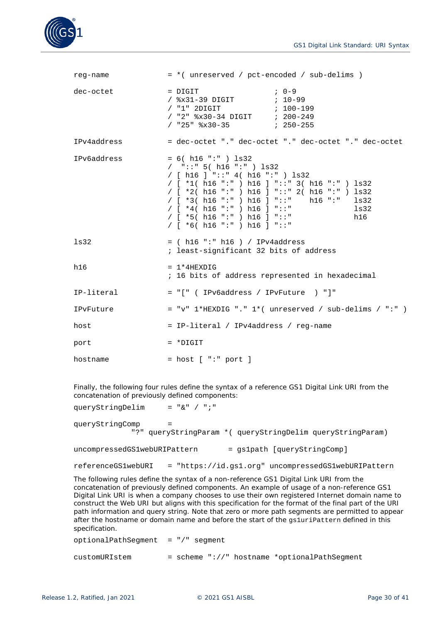

| reg-name    | = *( unreserved / pct-encoded / sub-delims )                                                                                                                                                                                                                                                                                                                                      |
|-------------|-----------------------------------------------------------------------------------------------------------------------------------------------------------------------------------------------------------------------------------------------------------------------------------------------------------------------------------------------------------------------------------|
| dec-octet   | $, 0-9$<br>$=$ $DiffIT$<br>/ "2" %x30-34 DIGIT ; 200-249                                                                                                                                                                                                                                                                                                                          |
| IPv4address | = dec-octet "." dec-octet "." dec-octet "." dec-octet                                                                                                                                                                                                                                                                                                                             |
| IPv6address | $= 6( h16 ":" ) ls32$<br>$/$ "::" 5( h16 ":" ) ls32<br>/ [ h16 ] "::" 4( h16 ":" ) $\text{ls32}$<br>/ [ *1( h16 ":" ) h16 ] "::" 3( h16 ":" ) ls32<br>/ [ *2( h16 ":" ) h16 ] "::" 2( h16 ":" ) ls32<br>/ $[ *3( h16 "::") h16 ] "::" h16 "::" ls32$<br>/ [ $*4$ ( h16 ":" ) h16 ] "::"<br>$\frac{1}{3}$<br>/ [ *5( h16 ":" ) h16 ] "::"<br>h16<br>/ $[ *6( h16 ":" ) h16 ] "::"$ |
| 1s32        | $=$ ( h16 ":" h16 ) / IPv4address<br>; least-significant 32 bits of address                                                                                                                                                                                                                                                                                                       |
| h16         | $= 1*4$ HEXDIG<br>; 16 bits of address represented in hexadecimal                                                                                                                                                                                                                                                                                                                 |
| IP-literal  | = "[" ( IPv6address / IPvFuture ) "]"                                                                                                                                                                                                                                                                                                                                             |
| IPvFuture   | = "v" $1$ *HEXDIG "." $1$ *( unreserved / sub-delims / ":" )                                                                                                                                                                                                                                                                                                                      |
| host        | = IP-literal / IPv4address / reg-name                                                                                                                                                                                                                                                                                                                                             |
| port        | $= *$ DIGIT                                                                                                                                                                                                                                                                                                                                                                       |
| hostname    | $=$ host $[$ ":" port $]$                                                                                                                                                                                                                                                                                                                                                         |

Finally, the following four rules define the syntax of a reference GS1 Digital Link URI from the concatenation of previously defined components:

| queryStringDelim             | $=$ "&" / ";"                                                    |
|------------------------------|------------------------------------------------------------------|
| queryStringComp              | =<br>"?" queryStringParam * ( queryStringDelim queryStringParam) |
| uncompressedGS1webURIPattern | = qs1path [queryStringComp]                                      |
| referenceGS1webURI           | = "https://id.gs1.org" uncompressedGS1webURIPattern              |

The following rules define the syntax of a non-reference GS1 Digital Link URI from the concatenation of previously defined components. An example of usage of a non-reference GS1 Digital Link URI is when a company chooses to use their own registered Internet domain name to construct the Web URI but aligns with this specification for the format of the final part of the URI path information and query string. Note that zero or more path segments are permitted to appear after the hostname or domain name and before the start of the gs1uriPattern defined in this specification.

optionalPathSegment = "/" segment customURIstem = scheme "://" hostname \*optionalPathSegment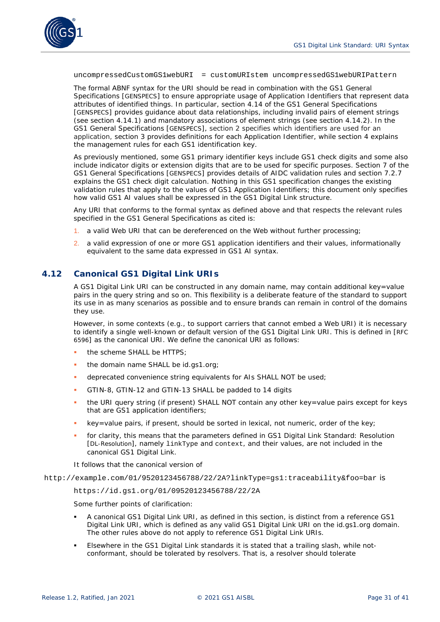

uncompressedCustomGS1webURI = customURIstem uncompressedGS1webURIPattern

The formal ABNF syntax for the URI should be read in combination with the GS1 General Specifications [\[GENSPECS\]](#page-39-2) to ensure appropriate usage of Application Identifiers that represent data attributes of identified things. In particular, section 4.14 of the GS1 General Specifications [\[GENSPECS\]](#page-39-2) provides guidance about data relationships, including invalid pairs of element strings (see section 4.14.1) and mandatory associations of element strings (see section 4.14.2). In the GS1 General Specifications [\[GENSPECS\]](#page-39-2), section 2 specifies which identifiers are used for an application, section 3 provides definitions for each Application Identifier, while section 4 explains the management rules for each GS1 identification key.

As previously mentioned, some GS1 primary identifier keys include GS1 check digits and some also include indicator digits or extension digits that are to be used for specific purposes. Section 7 of the GS1 General Specifications [\[GENSPECS\]](#page-39-2) provides details of AIDC validation rules and section 7.2.7 explains the GS1 check digit calculation. Nothing in this GS1 specification changes the existing validation rules that apply to the values of GS1 Application Identifiers; this document only specifies how valid GS1 AI values shall be expressed in the GS1 Digital Link structure.

Any URI that conforms to the formal syntax as defined above and that respects the relevant rules specified in the GS1 General Specifications as cited is:

- 1. a valid Web URI that can be dereferenced on the Web without further processing;
- 2. a valid expression of one or more GS1 application identifiers and their values, informationally equivalent to the same data expressed in GS1 AI syntax.

## <span id="page-30-0"></span>**4.12 Canonical GS1 Digital Link URIs**

A GS1 Digital Link URI can be constructed in any domain name, may contain additional key=value pairs in the query string and so on. This flexibility is a deliberate feature of the standard to support its use in as many scenarios as possible and to ensure brands can remain in control of the domains they use.

However, in some contexts (e.g., to support carriers that cannot embed a Web URI) it is necessary to identify a *single* well-known or default version of the GS1 Digital Link URI. This is defined in [\[RFC](#page-40-3)  [6596\]](#page-40-3) as the *canonical URI*. We define the canonical URI as follows:

- the scheme SHALL be HTTPS;
- the domain name SHALL be id.gs1.org;
- deprecated convenience string equivalents for AIs SHALL NOT be used;
- GTIN-8, GTIN-12 and GTIN-13 SHALL be padded to 14 digits
- the URI query string (if present) SHALL NOT contain any other key=value pairs except for keys that are GS1 application identifiers;
- key=value pairs, if present, should be sorted in lexical, not numeric, order of the key;
- for clarity, this means that the parameters defined in GS1 Digital Link Standard: Resolution [\[DL-Resolution\]](#page-39-6), namely linkType and context, and their values, are not included in the canonical GS1 Digital Link.
- It follows that the canonical version of

http://example.com/01/9520123456788/22/2A?linkType=gs1:traceability&foo=bar is

https://id.gs1.org/01/09520123456788/22/2A

Some further points of clarification:

- A *canonical* GS1 Digital Link URI, as defined in this section, is distinct from a *reference* GS1 Digital Link URI, which is defined as *any* valid GS1 Digital Link URI on the id.gs1.org domain. The other rules above do not apply to reference GS1 Digital Link URIs.
- Elsewhere in the GS1 Digital Link standards it is stated that a trailing slash, while notconformant, should be tolerated by resolvers. That is, a resolver should tolerate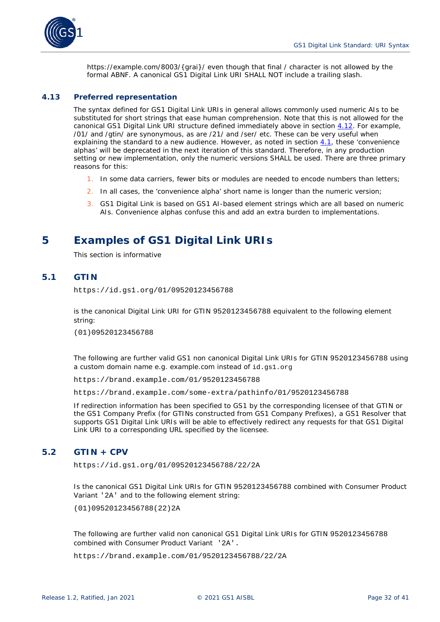

https://example.com/8003/{grai}/ even though that final / character is not allowed by the formal ABNF. A canonical GS1 Digital Link URI SHALL NOT include a trailing slash.

#### <span id="page-31-0"></span>**4.13 Preferred representation**

The syntax defined for GS1 Digital Link URIs in general allows commonly used numeric AIs to be substituted for short strings that ease human comprehension. Note that this is not allowed for the canonical GS1 Digital Link URI structure defined immediately above in section *[4.12](#page-30-0)*. For example, /01/ and /gtin/ are synonymous, as are /21/ and /ser/ etc. These can be very useful when explaining the standard to a new audience. However, as noted in section *[4.1](#page-15-1)*, these 'convenience alphas' will be deprecated in the next iteration of this standard. Therefore, in any production setting or new implementation, only the numeric versions SHALL be used. There are three primary reasons for this:

- 1. In some data carriers, fewer bits or modules are needed to encode numbers than letters;
- 2. In all cases, the 'convenience alpha' short name is longer than the numeric version;
- 3. GS1 Digital Link is based on GS1 AI-based element strings which are all based on numeric AIs. Convenience alphas confuse this and add an extra burden to implementations.

# <span id="page-31-1"></span>**5 Examples of GS1 Digital Link URIs**

*This section is informative*

# <span id="page-31-2"></span>**5.1 GTIN**

https://id.gs1.org/01/09520123456788

is the canonical Digital Link URI for GTIN 9520123456788 equivalent to the following element string:

(01)09520123456788

The following are further valid GS1 non canonical Digital Link URIs for GTIN 9520123456788 using a custom domain name e.g. example.com instead of id.gs1.org

https://brand.example.com/01/9520123456788

https://brand.example.com/some-extra/pathinfo/01/9520123456788

If redirection information has been specified to GS1 by the corresponding licensee of that GTIN or the GS1 Company Prefix (for GTINs constructed from GS1 Company Prefixes), a GS1 Resolver that supports GS1 Digital Link URIs will be able to effectively redirect any requests for that GS1 Digital Link URI to a corresponding URL specified by the licensee.

# <span id="page-31-3"></span>**5.2 GTIN + CPV**

https://id.gs1.org/01/09520123456788/22/2A

Is the canonical GS1 Digital Link URIs for GTIN 9520123456788 combined with Consumer Product Variant '2A' and to the following element string:

(01)09520123456788(22)2A

The following are further valid non canonical GS1 Digital Link URIs for GTIN 9520123456788 combined with Consumer Product Variant '2A'.

https://brand.example.com/01/9520123456788/22/2A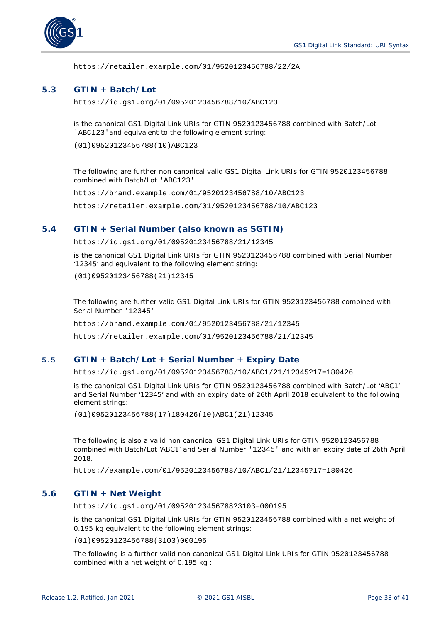

https://retailer.example.com/01/9520123456788/22/2A

## <span id="page-32-0"></span>**5.3 GTIN + Batch/Lot**

https://id.gs1.org/01/09520123456788/10/ABC123

is the canonical GS1 Digital Link URIs for GTIN 9520123456788 combined with Batch/Lot 'ABC123'and equivalent to the following element string:

(01)09520123456788(10)ABC123

The following are further non canonical valid GS1 Digital Link URIs for GTIN 9520123456788 combined with Batch/Lot 'ABC123'

https://brand.example.com/01/9520123456788/10/ABC123

https://retailer.example.com/01/9520123456788/10/ABC123

## <span id="page-32-1"></span>**5.4 GTIN + Serial Number (also known as SGTIN)**

https://id.gs1.org/01/09520123456788/21/12345

is the canonical GS1 Digital Link URIs for GTIN 9520123456788 combined with Serial Number '12345' and equivalent to the following element string:

(01)09520123456788(21)12345

The following are further valid GS1 Digital Link URIs for GTIN 9520123456788 combined with Serial Number '12345'

https://brand.example.com/01/9520123456788/21/12345

https://retailer.example.com/01/9520123456788/21/12345

## <span id="page-32-2"></span>**5.5 GTIN + Batch/Lot + Serial Number + Expiry Date**

https://id.gs1.org/01/09520123456788/10/ABC1/21/12345?17=180426

is the canonical GS1 Digital Link URIs for GTIN 9520123456788 combined with Batch/Lot 'ABC1' and Serial Number '12345' and with an expiry date of 26th April 2018 equivalent to the following element strings:

(01)09520123456788(17)180426(10)ABC1(21)12345

The following is also a valid non canonical GS1 Digital Link URIs for GTIN 9520123456788 combined with Batch/Lot 'ABC1' and Serial Number '12345' and with an expiry date of 26th April 2018.

https://example.com/01/9520123456788/10/ABC1/21/12345?17=180426

## <span id="page-32-3"></span>**5.6 GTIN + Net Weight**

https://id.gs1.org/01/09520123456788?3103=000195

is the canonical GS1 Digital Link URIs for GTIN 9520123456788 combined with a net weight of 0.195 kg equivalent to the following element strings:

(01)09520123456788(3103)000195

The following is a further valid non canonical GS1 Digital Link URIs for GTIN 9520123456788 combined with a net weight of 0.195 kg :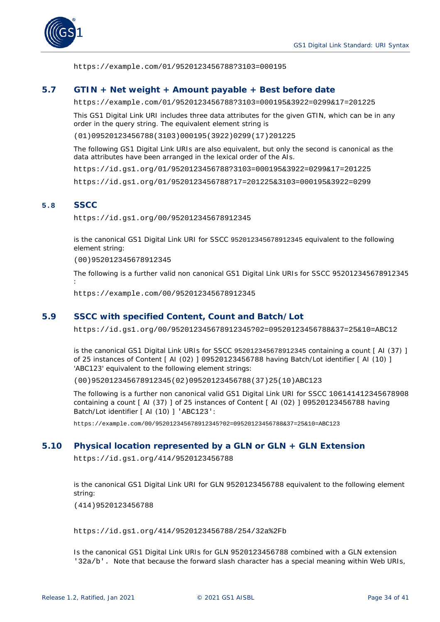

https://example.com/01/9520123456788?3103=000195

## <span id="page-33-0"></span>**5.7 GTIN + Net weight + Amount payable + Best before date**

https://example.com/01/9520123456788?3103=000195&3922=0299&17=201225

This GS1 Digital Link URI includes three data attributes for the given GTIN, which can be in any order in the query string. The equivalent element string is

(01)09520123456788(3103)000195(3922)0299(17)201225

The following GS1 Digital Link URIs are also equivalent, but only the second is canonical as the data attributes have been arranged in the lexical order of the AIs.

https://id.gs1.org/01/9520123456788?3103=000195&3922=0299&17=201225

https://id.gs1.org/01/9520123456788?17=201225&3103=000195&3922=0299

#### <span id="page-33-1"></span>**5.8 SSCC**

https://id.gs1.org/00/952012345678912345

is the canonical GS1 Digital Link URI for SSCC 952012345678912345 equivalent to the following element string:

(00)952012345678912345

The following is a further valid non canonical GS1 Digital Link URIs for SSCC 952012345678912345 :

https://example.com/00/952012345678912345

## <span id="page-33-2"></span>**5.9 SSCC with specified Content, Count and Batch/Lot**

https://id.gs1.org/00/952012345678912345?02=09520123456788&37=25&10=ABC12

is the canonical GS1 Digital Link URIs for SSCC 952012345678912345 containing a count [ AI (37) ] of 25 instances of Content [ AI (02) ] 09520123456788 having Batch/Lot identifier [ AI (10) ] 'ABC123' equivalent to the following element strings:

(00)952012345678912345(02)09520123456788(37)25(10)ABC123

The following is a further non canonical valid GS1 Digital Link URI for SSCC 106141412345678908 containing a count [ AI (37) ] of 25 instances of Content [ AI (02) ] 09520123456788 having Batch/Lot identifier [ AI (10) ] 'ABC123':

https://example.com/00/952012345678912345?02=09520123456788&37=25&10=ABC123

## <span id="page-33-3"></span>**5.10 Physical location represented by a GLN or GLN + GLN Extension**

https://id.gs1.org/414/9520123456788

is the canonical GS1 Digital Link URI for GLN 9520123456788 equivalent to the following element string:

(414)9520123456788

https://id.gs1.org/414/9520123456788/254/32a%2Fb

Is the canonical GS1 Digital Link URIs for GLN 9520123456788 combined with a GLN extension '32a/b'. Note that because the forward slash character has a special meaning within Web URIs,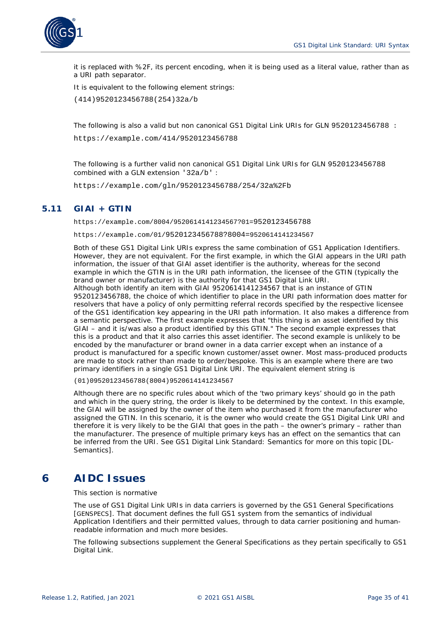

it is replaced with %2F, its percent encoding, when it is being used as a literal value, rather than as a URI path separator.

It is equivalent to the following element strings:

(414)9520123456788(254)32a/b

The following is also a valid but non canonical GS1 Digital Link URIs for GLN 9520123456788 :

https://example.com/414/9520123456788

The following is a further valid non canonical GS1 Digital Link URIs for GLN 9520123456788 combined with a GLN extension '32a/b' :

https://example.com/gln/9520123456788/254/32a%2Fb

# <span id="page-34-0"></span>**5.11 GIAI + GTIN**

https://example.com/8004/9520614141234567?01=9520123456788

https://example.com/01/9520123456788?8004=9520614141234567

Both of these GS1 Digital Link URIs express the same combination of GS1 Application Identifiers. However, they are not equivalent. For the first example, in which the GIAI appears in the URI path information, the issuer of that GIAI asset identifier is the authority, whereas for the second example in which the GTIN is in the URI path information, the licensee of the GTIN (typically the brand owner or manufacturer) is the authority for that GS1 Digital Link URI. Although both identify an item with GIAI 9520614141234567 that is an instance of GTIN 9520123456788, the choice of which identifier to place in the URI path information does matter for

resolvers that have a policy of only permitting referral records specified by the respective licensee of the GS1 identification key appearing in the URI path information. It also makes a difference from a semantic perspective. The first example expresses that "this thing is an asset identified by this GIAI – and it is/was also a product identified by this GTIN." The second example expresses that this is a product and that it also carries this asset identifier. The second example is unlikely to be encoded by the manufacturer or brand owner in a data carrier except when an instance of a product is manufactured for a specific known customer/asset owner. Most mass-produced products are made to stock rather than made to order/bespoke. This is an example where there are two primary identifiers in a single GS1 Digital Link URI. The equivalent element string is

(01)09520123456788(8004)9520614141234567

Although there are no specific rules about which of the 'two primary keys' should go in the path and which in the query string, the order is likely to be determined by the context. In this example, the GIAI will be assigned by the owner of the item who purchased it from the manufacturer who assigned the GTIN. In this scenario, it is the owner who would create the GS1 Digital Link URI and therefore it is very likely to be the GIAI that goes in the path – the owner's primary – rather than the manufacturer. The presence of multiple primary keys has an effect on the semantics that can be inferred from the URI. See GS1 Digital Link Standard: Semantics for more on this topic [DL-Semantics].

# <span id="page-34-1"></span>**6 AIDC Issues**

#### *This section is normative*

The use of GS1 Digital Link URIs in data carriers is governed by the GS1 General Specifications [\[GENSPECS\]](#page-39-2). That document defines the full GS1 system from the semantics of individual Application Identifiers and their permitted values, through to data carrier positioning and humanreadable information and much more besides.

The following subsections supplement the General Specifications as they pertain specifically to GS1 Digital Link.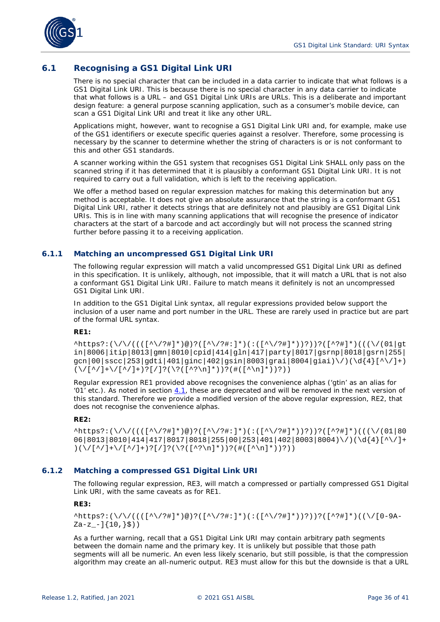

# <span id="page-35-0"></span>**6.1 Recognising a GS1 Digital Link URI**

There is no special character that can be included in a data carrier to indicate that what follows is a GS1 Digital Link URI. This is because there is no special character in any data carrier to indicate that what follows is a URL – and GS1 Digital Link URIs are URLs. This is a deliberate and important design feature: a general purpose scanning application, such as a consumer's mobile device, can scan a GS1 Digital Link URI and treat it like any other URL.

Applications might, however, want to recognise a GS1 Digital Link URI and, for example, make use of the GS1 identifiers or execute specific queries against a resolver. Therefore, some processing is necessary by the scanner to determine whether the string of characters is or is not conformant to this and other GS1 standards.

A scanner working within the GS1 system that recognises GS1 Digital Link SHALL only pass on the scanned string if it has determined that it is *plausibly* a conformant GS1 Digital Link URI. It is not required to carry out a full validation, which is left to the receiving application.

We offer a method based on regular expression matches for making this determination but any method is acceptable. It does not give an absolute assurance that the string *is* a conformant GS1 Digital Link URI, rather it detects strings that are definitely not and plausibly are GS1 Digital Link URIs. This is in line with many scanning applications that will recognise the presence of indicator characters at the start of a barcode and act accordingly but will not process the scanned string further before passing it to a receiving application.

## <span id="page-35-1"></span>**6.1.1 Matching an uncompressed GS1 Digital Link URI**

The following regular expression will match a valid uncompressed GS1 Digital Link URI as defined in this specification. It is unlikely, although, not impossible, that it will match a URL that is not also a conformant GS1 Digital Link URI. Failure to match means it definitely is not an uncompressed GS1 Digital Link URI.

In addition to the GS1 Digital Link syntax, all regular expressions provided below support the inclusion of a user name and port number in the URL. These are rarely used in practice but are part of the formal URL syntax.

#### **RE1:**

 $\hat{\Lambda}$ ttps?:(\/\/((([^\/?#]\*)@)?([^\/?#:]\*)(:([^\/?#]\*))?))?([^?#]\*)(((\/(01|gt in|8006|itip|8013|gmn|8010|cpid|414|gln|417|party|8017|gsrnp|8018|gsrn|255| qcn|00|sscc|253|qdti|401|qinc|402|qsin|8003|qrai|8004|qiai)\/)(\d{4}[^\/]+)  $(\sqrt{(2/1+1+1+1)^2}]/(2)(2+2\pi)*))$ ?(#( $2\pi$ )\*))?))

Regular expression RE1 provided above recognises the convenience alphas ('gtin' as an alias for '01' etc.). As noted in section *[4.1](#page-15-1)*, these are deprecated and will be removed in the next version of this standard. Therefore we provide a modified version of the above regular expression, RE2, that does not recognise the convenience alphas.

#### **RE2:**

 $\hat{\pi}$ https?:(\/\/((([^\/?#]\*)@)?([^\/?#:]\*)(:([^\/?#]\*))?))?([^?#]\*)(((\/(01|80 06|8013|8010|414|417|8017|8018|255|00|253|401|402|8003|8004)\/)(\d{4}[^\/]+  $(\sqrt{[\^}/]+\1/[\^*/]$  +  $)$ ?[/]?(\?([^?\n]\*))?(#([^\n]\*))?))

#### <span id="page-35-2"></span>**6.1.2 Matching a compressed GS1 Digital Link URI**

The following regular expression, RE3, will match a compressed or partially compressed GS1 Digital Link URI, with the same caveats as for RE1.

#### **RE3:**

 $\hat{\Lambda}$ https?:(\/\/((([^\/?#]\*)@)?([^\/?#:]\*)(:([^\/?#]\*))?))?([^?#]\*)((\/[0-9A- $Za-z$  -] $\{10, \}$ \$))

As a further warning, recall that a GS1 Digital Link URI may contain arbitrary path segments between the domain name and the primary key. It is unlikely but possible that those path segments will all be numeric. An even less likely scenario, but still possible, is that the compression algorithm may create an all-numeric output. RE3 must allow for this but the downside is that a URL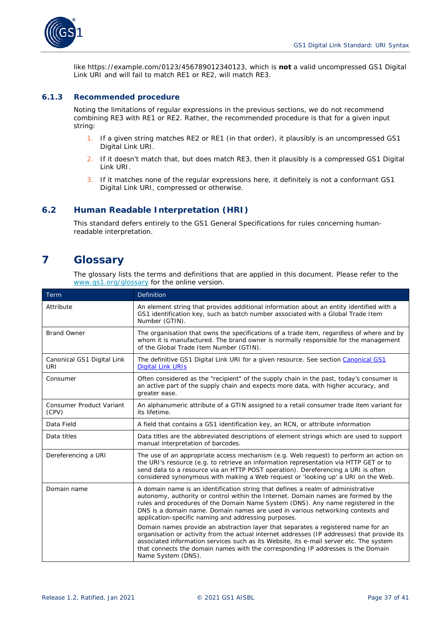

like https://example.com/0123/456789012340123, which is **not** a valid uncompressed GS1 Digital Link URI and will fail to match RE1 or RE2, will match RE3.

#### <span id="page-36-0"></span>**6.1.3 Recommended procedure**

Noting the limitations of regular expressions in the previous sections, we do not recommend combining RE3 with RE1 or RE2. Rather, the recommended procedure is that for a given input string:

- 1. If a given string matches RE2 or RE1 (in that order), it plausibly is an uncompressed GS1 Digital Link URI.
- 2. If it doesn't match that, but does match RE3, then it plausibly is a compressed GS1 Digital Link URI.
- 3. If it matches none of the regular expressions here, it definitely is not a conformant GS1 Digital Link URI, compressed or otherwise.

# <span id="page-36-1"></span>**6.2 Human Readable Interpretation (HRI)**

This standard defers entirely to the GS1 General Specifications for rules concerning humanreadable interpretation.

# <span id="page-36-2"></span>**7 Glossary**

The glossary lists the terms and definitions that are applied in this document. Please refer to the *[www.gs1.org/glossary](http://www.gs1.org/glossary)* for the online version.

| Term                                     | <b>Definition</b>                                                                                                                                                                                                                                                                                                                                                                                    |
|------------------------------------------|------------------------------------------------------------------------------------------------------------------------------------------------------------------------------------------------------------------------------------------------------------------------------------------------------------------------------------------------------------------------------------------------------|
| Attribute                                | An element string that provides additional information about an entity identified with a<br>GS1 identification key, such as batch number associated with a Global Trade Item<br>Number (GTIN).                                                                                                                                                                                                       |
| <b>Brand Owner</b>                       | The organisation that owns the specifications of a trade item, regardless of where and by<br>whom it is manufactured. The brand owner is normally responsible for the management<br>of the Global Trade Item Number (GTIN).                                                                                                                                                                          |
| Canonical GS1 Digital Link<br><b>URI</b> | The definitive GS1 Digital Link URI for a given resource. See section Canonical GS1<br><b>Digital Link URIs</b>                                                                                                                                                                                                                                                                                      |
| Consumer                                 | Often considered as the "recipient" of the supply chain in the past, today's consumer is<br>an active part of the supply chain and expects more data, with higher accuracy, and<br>greater ease.                                                                                                                                                                                                     |
| <b>Consumer Product Variant</b><br>(CPV) | An alphanumeric attribute of a GTIN assigned to a retail consumer trade item variant for<br>its lifetime.                                                                                                                                                                                                                                                                                            |
| Data Field                               | A field that contains a GS1 identification key, an RCN, or attribute information                                                                                                                                                                                                                                                                                                                     |
| Data titles                              | Data titles are the abbreviated descriptions of element strings which are used to support<br>manual interpretation of barcodes.                                                                                                                                                                                                                                                                      |
| Dereferencing a URI                      | The use of an appropriate access mechanism (e.g. Web request) to perform an action on<br>the URI's resource (e.g. to retrieve an information representation via HTTP GET or to<br>send data to a resource via an HTTP POST operation). Dereferencing a URI is often<br>considered synonymous with making a Web request or 'looking up' a URI on the Web.                                             |
| Domain name                              | A domain name is an identification string that defines a realm of administrative<br>autonomy, authority or control within the Internet. Domain names are formed by the<br>rules and procedures of the Domain Name System (DNS). Any name registered in the<br>DNS is a domain name. Domain names are used in various networking contexts and<br>application-specific naming and addressing purposes. |
|                                          | Domain names provide an abstraction layer that separates a registered name for an<br>organisation or activity from the actual internet addresses (IP addresses) that provide its<br>associated information services such as its Website, its e-mail server etc. The system<br>that connects the domain names with the corresponding IP addresses is the Domain<br>Name System (DNS).                 |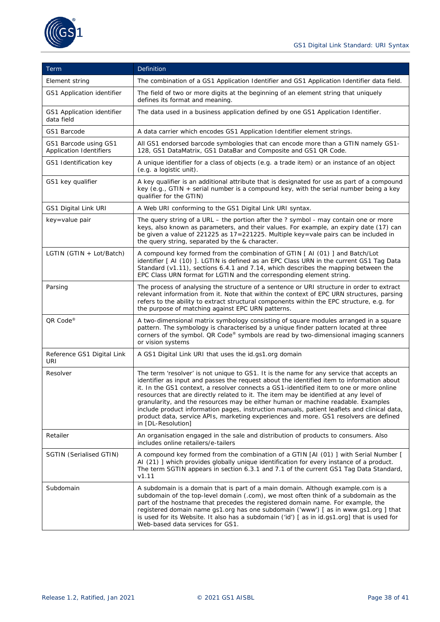

| Term                                                    | Definition                                                                                                                                                                                                                                                                                                                                                                                                                                                                                                                                                                                                                                                                  |
|---------------------------------------------------------|-----------------------------------------------------------------------------------------------------------------------------------------------------------------------------------------------------------------------------------------------------------------------------------------------------------------------------------------------------------------------------------------------------------------------------------------------------------------------------------------------------------------------------------------------------------------------------------------------------------------------------------------------------------------------------|
| Element string                                          | The combination of a GS1 Application Identifier and GS1 Application Identifier data field.                                                                                                                                                                                                                                                                                                                                                                                                                                                                                                                                                                                  |
| GS1 Application identifier                              | The field of two or more digits at the beginning of an element string that uniquely<br>defines its format and meaning.                                                                                                                                                                                                                                                                                                                                                                                                                                                                                                                                                      |
| GS1 Application identifier<br>data field                | The data used in a business application defined by one GS1 Application Identifier.                                                                                                                                                                                                                                                                                                                                                                                                                                                                                                                                                                                          |
| GS1 Barcode                                             | A data carrier which encodes GS1 Application Identifier element strings.                                                                                                                                                                                                                                                                                                                                                                                                                                                                                                                                                                                                    |
| GS1 Barcode using GS1<br><b>Application Identifiers</b> | All GS1 endorsed barcode symbologies that can encode more than a GTIN namely GS1-<br>128, GS1 DataMatrix, GS1 DataBar and Composite and GS1 QR Code.                                                                                                                                                                                                                                                                                                                                                                                                                                                                                                                        |
| GS1 Identification key                                  | A unique identifier for a class of objects (e.g. a trade item) or an instance of an object<br>(e.g. a logistic unit).                                                                                                                                                                                                                                                                                                                                                                                                                                                                                                                                                       |
| GS1 key qualifier                                       | A key qualifier is an additional attribute that is designated for use as part of a compound<br>key (e.g., GTIN + serial number is a compound key, with the serial number being a key<br>qualifier for the GTIN)                                                                                                                                                                                                                                                                                                                                                                                                                                                             |
| GS1 Digital Link URI                                    | A Web URI conforming to the GS1 Digital Link URI syntax.                                                                                                                                                                                                                                                                                                                                                                                                                                                                                                                                                                                                                    |
| key=value pair                                          | The query string of a URL $-$ the portion after the ? symbol - may contain one or more<br>keys, also known as parameters, and their values. For example, an expiry date (17) can<br>be given a value of 221225 as 17=221225. Multiple key=vale pairs can be included in<br>the query string, separated by the & character.                                                                                                                                                                                                                                                                                                                                                  |
| LGTIN (GTIN + Lot/Batch)                                | A compound key formed from the combination of GTIN [ AI (01) ] and Batch/Lot<br>identifier [AI (10)]. LGTIN is defined as an EPC Class URN in the current GS1 Tag Data<br>Standard (v1.11), sections 6.4.1 and 7.14, which describes the mapping between the<br>EPC Class URN format for LGTIN and the corresponding element string.                                                                                                                                                                                                                                                                                                                                        |
| Parsing                                                 | The process of analysing the structure of a sentence or URI structure in order to extract<br>relevant information from it. Note that within the context of EPC URN structures, parsing<br>refers to the ability to extract structural components within the EPC structure, e.g. for<br>the purpose of matching against EPC URN patterns.                                                                                                                                                                                                                                                                                                                                    |
| QR Code®                                                | A two-dimensional matrix symbology consisting of square modules arranged in a square<br>pattern. The symbology is characterised by a unique finder pattern located at three<br>corners of the symbol. QR Code® symbols are read by two-dimensional imaging scanners<br>or vision systems                                                                                                                                                                                                                                                                                                                                                                                    |
| Reference GS1 Digital Link<br>URI                       | A GS1 Digital Link URI that uses the id.gs1.org domain                                                                                                                                                                                                                                                                                                                                                                                                                                                                                                                                                                                                                      |
| Resolver                                                | The term 'resolver' is not unique to GS1. It is the name for any service that accepts an<br>identifier as input and passes the request about the identified item to information about<br>it. In the GS1 context, a resolver connects a GS1-identified item to one or more online<br>resources that are directly related to it. The item may be identified at any level of<br>granularity, and the resources may be either human or machine readable. Examples<br>include product information pages, instruction manuals, patient leaflets and clinical data,<br>product data, service APIs, marketing experiences and more. GS1 resolvers are defined<br>in [DL-Resolution] |
| Retailer                                                | An organisation engaged in the sale and distribution of products to consumers. Also<br>includes online retailers/e-tailers                                                                                                                                                                                                                                                                                                                                                                                                                                                                                                                                                  |
| SGTIN (Serialised GTIN)                                 | A compound key formed from the combination of a GTIN [AI (01) ] with Serial Number [<br>AI (21) ] which provides globally unique identification for every instance of a product.<br>The term SGTIN appears in section 6.3.1 and 7.1 of the current GS1 Tag Data Standard,<br>V1.11                                                                                                                                                                                                                                                                                                                                                                                          |
| Subdomain                                               | A subdomain is a domain that is part of a main domain. Although example.com is a<br>subdomain of the top-level domain (.com), we most often think of a subdomain as the<br>part of the hostname that precedes the registered domain name. For example, the<br>registered domain name gs1.org has one subdomain ('www') [ as in www.gs1.org ] that<br>is used for its Website. It also has a subdomain ('id') [as in id.gs1.org] that is used for<br>Web-based data services for GS1.                                                                                                                                                                                        |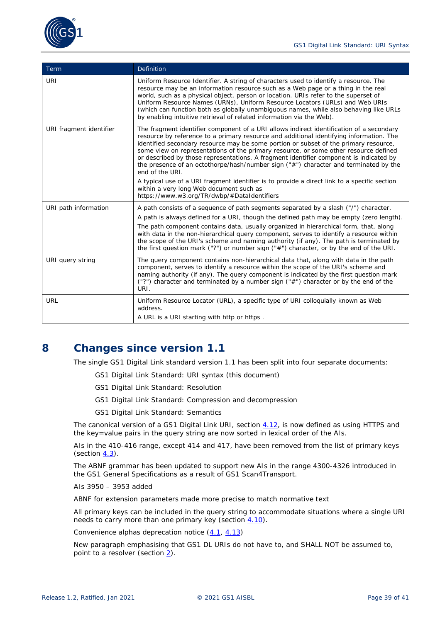

| Term                    | <b>Definition</b>                                                                                                                                                                                                                                                                                                                                                                                                                                                                                                                                                        |
|-------------------------|--------------------------------------------------------------------------------------------------------------------------------------------------------------------------------------------------------------------------------------------------------------------------------------------------------------------------------------------------------------------------------------------------------------------------------------------------------------------------------------------------------------------------------------------------------------------------|
| <b>URI</b>              | Uniform Resource Identifier. A string of characters used to identify a resource. The<br>resource may be an information resource such as a Web page or a thing in the real<br>world, such as a physical object, person or location. URIs refer to the superset of<br>Uniform Resource Names (URNs), Uniform Resource Locators (URLs) and Web URIs<br>(which can function both as globally unambiguous names, while also behaving like URLs<br>by enabling intuitive retrieval of related information via the Web).                                                        |
| URI fragment identifier | The fragment identifier component of a URI allows indirect identification of a secondary<br>resource by reference to a primary resource and additional identifying information. The<br>identified secondary resource may be some portion or subset of the primary resource,<br>some view on representations of the primary resource, or some other resource defined<br>or described by those representations. A fragment identifier component is indicated by<br>the presence of an octothorpe/hash/number sign ("#") character and terminated by the<br>end of the URI. |
|                         | A typical use of a URI fragment identifier is to provide a direct link to a specific section<br>within a very long Web document such as<br>https://www.w3.org/TR/dwbp/#DataIdentifiers                                                                                                                                                                                                                                                                                                                                                                                   |
| URI path information    | A path consists of a sequence of path segments separated by a slash ("/") character.<br>A path is always defined for a URI, though the defined path may be empty (zero length).<br>The path component contains data, usually organized in hierarchical form, that, along<br>with data in the non-hierarchical query component, serves to identify a resource within<br>the scope of the URI's scheme and naming authority (if any). The path is terminated by<br>the first question mark ("?") or number sign ("#") character, or by the end of the URI.                 |
| URI query string        | The query component contains non-hierarchical data that, along with data in the path<br>component, serves to identify a resource within the scope of the URI's scheme and<br>naming authority (if any). The query component is indicated by the first question mark<br>("?") character and terminated by a number sign ("#") character or by the end of the<br>URI.                                                                                                                                                                                                      |
| <b>URL</b>              | Uniform Resource Locator (URL), a specific type of URI colloquially known as Web<br>address.<br>A URL is a URI starting with http or https.                                                                                                                                                                                                                                                                                                                                                                                                                              |

# <span id="page-38-0"></span>**8 Changes since version 1.1**

The single GS1 Digital Link standard version 1.1 has been split into four separate documents:

- GS1 Digital Link Standard: URI syntax (this document)
- GS1 Digital Link Standard: Resolution
- GS1 Digital Link Standard: Compression and decompression
- GS1 Digital Link Standard: Semantics

The canonical version of a GS1 Digital Link URI, section *[4.12](#page-30-0)*, is now defined as using HTTPS and the key=value pairs in the query string are now sorted in lexical order of the AIs.

AIs in the 410-416 range, except 414 and 417, have been removed from the list of primary keys (section *[4.3](#page-17-0)*).

The ABNF grammar has been updated to support new AIs in the range 4300-4326 introduced in the GS1 General Specifications as a result of GS1 Scan4Transport.

AIs 3950 – 3953 added

ABNF for extension parameters made more precise to match normative text

All primary keys can be included in the query string to accommodate situations where a single URI needs to carry more than one primary key (section *[4.10](#page-20-0)*).

Convenience alphas deprecation notice (*[4.1](#page-15-1)*, *[4.13](#page-31-0)*)

New paragraph emphasising that GS1 DL URIs do not have to, and SHALL NOT be assumed to, point to a resolver (section *[2](#page-11-1)*).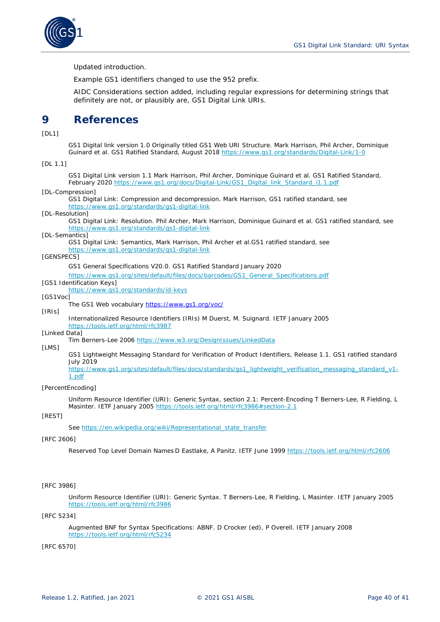

Updated introduction.

Example GS1 identifiers changed to use the 952 prefix.

AIDC Considerations section added, including regular expressions for determining strings that definitely are not, or plausibly are, GS1 Digital Link URIs.

# <span id="page-39-0"></span>**9 References**

<span id="page-39-11"></span>[DL1]

GS1 Digital link version 1.0 Originally titled GS1 Web URI Structure. Mark Harrison, Phil Archer, Dominique Guinard et al. GS1 Ratified Standard, August 2018 *<https://www.gs1.org/standards/Digital-Link/1-0>*

#### [DL 1.1]

GS1 Digital Link version 1.1 Mark Harrison, Phil Archer, Dominique Guinard et al. GS1 Ratified Standard, February 2020 *[https://www.gs1.org/docs/Digital-Link/GS1\\_Digital\\_link\\_Standard\\_i1.1.pdf](https://www.gs1.org/docs/Digital-Link/GS1_Digital_link_Standard_i1.1.pdf)*

#### [DL-Compression]

GS1 Digital Link: Compression and decompression. Mark Harrison, GS1 ratified standard, see *<https://www.gs1.org/standards/gs1-digital-link>*

#### <span id="page-39-6"></span>[DL-Resolution]

GS1 Digital Link: Resolution. Phil Archer, Mark Harrison, Dominique Guinard et al. GS1 ratified standard, see *<https://www.gs1.org/standards/gs1-digital-link>*

#### <span id="page-39-10"></span>[DL-Semantics]

GS1 Digital Link: Semantics, Mark Harrison, Phil Archer et al.GS1 ratified standard, see *<https://www.gs1.org/standards/gs1-digital-link>*

#### <span id="page-39-2"></span>[GENSPECS]

GS1 General Specifications V20.0. GS1 Ratified Standard January 2020

*[https://www.gs1.org/sites/default/files/docs/barcodes/GS1\\_General\\_Specifications.pdf](https://www.gs1.org/sites/default/files/docs/barcodes/GS1_General_Specifications.pdf)*

- <span id="page-39-1"></span>[GS1 Identification Keys]
	- *<https://www.gs1.org/standards/id-keys>*

#### [GS1Voc]

The GS1 Web vocabulary *<https://www.gs1.org/voc/>*

#### <span id="page-39-7"></span>[IRIs]

Internationalized Resource Identifiers (IRIs) M Duerst, M. Suignard. IETF January 2005 <https://tools.ietf.org/html/rfc3987>

#### <span id="page-39-8"></span>[Linked Data]

Tim Berners-Lee 2006 *<https://www.w3.org/DesignIssues/LinkedData>*

#### [LMS]

GS1 Lightweight Messaging Standard for Verification of Product Identifiers, Release 1.1. GS1 ratified standard July 2019

*[https://www.gs1.org/sites/default/files/docs/standards/gs1\\_lightweight\\_verification\\_messaging\\_standard\\_v1-](https://www.gs1.org/sites/default/files/docs/standards/gs1_lightweight_verification_messaging_standard_v1-1.pdf) [1.pdf](https://www.gs1.org/sites/default/files/docs/standards/gs1_lightweight_verification_messaging_standard_v1-1.pdf)*

#### <span id="page-39-12"></span>[PercentEncoding]

Uniform Resource Identifier (URI): Generic Syntax, section 2.1: Percent-Encoding T Berners-Lee, R Fielding, L Masinter. IETF January 2005 *<https://tools.ietf.org/html/rfc3986#section-2.1>*

#### <span id="page-39-9"></span>[REST]

See [https://en.wikipedia.org/wiki/Representational\\_state\\_transfer](https://en.wikipedia.org/wiki/Representational_state_transfer)

#### <span id="page-39-4"></span>[RFC 2606]

Reserved Top Level Domain Names D Eastlake, A Panitz. IETF June 1999 *<https://tools.ietf.org/html/rfc2606>*

#### <span id="page-39-13"></span>[RFC 3986]

Uniform Resource Identifier (URI): Generic Syntax. T Berners-Lee, R Fielding, L Masinter. IETF January 2005 *<https://tools.ietf.org/html/rfc3986>*

#### <span id="page-39-5"></span>[RFC 5234]

Augmented BNF for Syntax Specifications: ABNF. D Crocker (ed), P Overell. IETF January 2008 *<https://tools.ietf.org/html/rfc5234>*

<span id="page-39-3"></span>[RFC 6570]